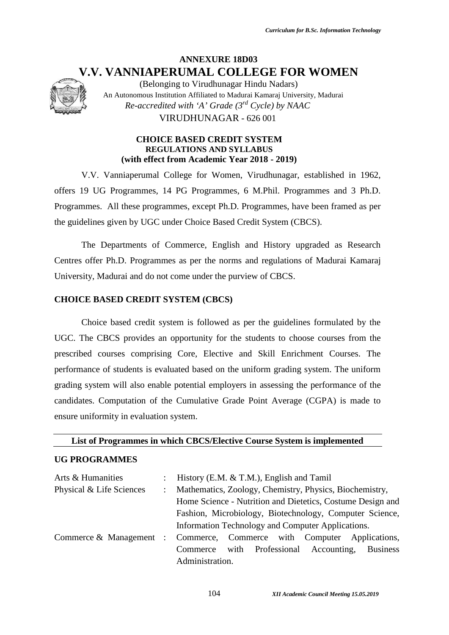# **ANNEXURE 18D03 V.V. VANNIAPERUMAL COLLEGE FOR WOMEN**



(Belonging to Virudhunagar Hindu Nadars) An Autonomous Institution Affiliated to Madurai Kamaraj University, Madurai *Re-accredited with 'A' Grade (3rd Cycle) by NAAC* VIRUDHUNAGAR - 626 001

#### **CHOICE BASED CREDIT SYSTEM REGULATIONS AND SYLLABUS (with effect from Academic Year 2018 - 2019)**

V.V. Vanniaperumal College for Women, Virudhunagar, established in 1962, offers 19 UG Programmes, 14 PG Programmes, 6 M.Phil. Programmes and 3 Ph.D. Programmes. All these programmes, except Ph.D. Programmes, have been framed as per the guidelines given by UGC under Choice Based Credit System (CBCS).

The Departments of Commerce, English and History upgraded as Research Centres offer Ph.D. Programmes as per the norms and regulations of Madurai Kamaraj University, Madurai and do not come under the purview of CBCS.

# **CHOICE BASED CREDIT SYSTEM (CBCS)**

Choice based credit system is followed as per the guidelines formulated by the UGC. The CBCS provides an opportunity for the students to choose courses from the prescribed courses comprising Core, Elective and Skill Enrichment Courses. The performance of students is evaluated based on the uniform grading system. The uniform grading system will also enable potential employers in assessing the performance of the candidates. Computation of the Cumulative Grade Point Average (CGPA) is made to ensure uniformity in evaluation system.

#### **List of Programmes in which CBCS/Elective Course System is implemented**

#### **UG PROGRAMMES**

| Arts & Humanities        | $\ddot{\phantom{0}}$                                      | History (E.M. & T.M.), English and Tamil                               |  |  |  |  |
|--------------------------|-----------------------------------------------------------|------------------------------------------------------------------------|--|--|--|--|
| Physical & Life Sciences | $\ddot{\phantom{0}}$                                      | Mathematics, Zoology, Chemistry, Physics, Biochemistry,                |  |  |  |  |
|                          |                                                           | Home Science - Nutrition and Dietetics, Costume Design and             |  |  |  |  |
|                          |                                                           | Fashion, Microbiology, Biotechnology, Computer Science,                |  |  |  |  |
|                          |                                                           | Information Technology and Computer Applications.                      |  |  |  |  |
|                          |                                                           | Commerce & Management : Commerce, Commerce with Computer Applications, |  |  |  |  |
|                          | Commerce with Professional Accounting,<br><b>Business</b> |                                                                        |  |  |  |  |
|                          |                                                           | Administration.                                                        |  |  |  |  |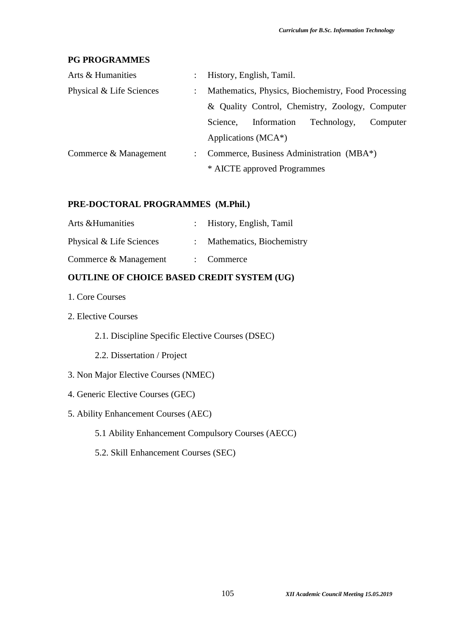# **PG PROGRAMMES**

| Arts & Humanities        | $\mathbb{Z}$              | History, English, Tamil.                            |  |  |  |  |
|--------------------------|---------------------------|-----------------------------------------------------|--|--|--|--|
| Physical & Life Sciences | $\mathbb{Z}^{\mathbb{Z}}$ | Mathematics, Physics, Biochemistry, Food Processing |  |  |  |  |
|                          |                           | & Quality Control, Chemistry, Zoology, Computer     |  |  |  |  |
|                          |                           | Information<br>Technology,<br>Science.<br>Computer  |  |  |  |  |
|                          |                           | Applications (MCA*)                                 |  |  |  |  |
| Commerce & Management    | $\mathcal{L}$             | Commerce, Business Administration (MBA*)            |  |  |  |  |
|                          |                           | * AICTE approved Programmes                         |  |  |  |  |

# **PRE-DOCTORAL PROGRAMMES (M.Phil.)**

| Arts & Humanities        | : History, English, Tamil   |
|--------------------------|-----------------------------|
| Physical & Life Sciences | : Mathematics, Biochemistry |
| Commerce & Management    | $\therefore$ Commerce       |

# **OUTLINE OF CHOICE BASED CREDIT SYSTEM (UG)**

- 1. Core Courses
- 2. Elective Courses
	- 2.1. Discipline Specific Elective Courses (DSEC)
	- 2.2. Dissertation / Project
- 3. Non Major Elective Courses (NMEC)
- 4. Generic Elective Courses (GEC)
- 5. Ability Enhancement Courses (AEC)
	- 5.1 Ability Enhancement Compulsory Courses (AECC)
	- 5.2. Skill Enhancement Courses (SEC)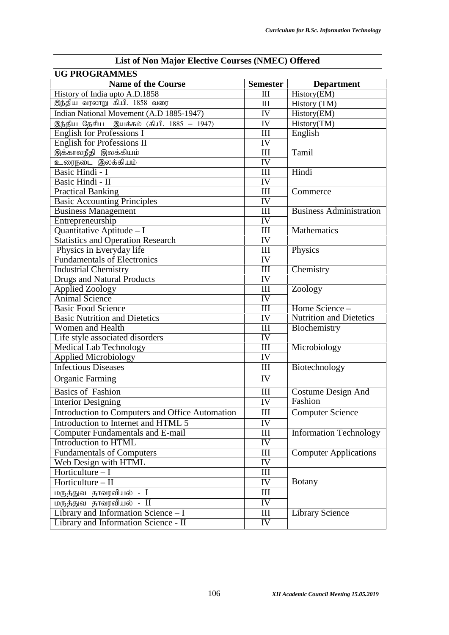| <b>UG PROGRAMMES</b>                            |                             |                                |  |  |
|-------------------------------------------------|-----------------------------|--------------------------------|--|--|
| <b>Name of the Course</b>                       | <b>Semester</b>             | <b>Department</b>              |  |  |
| History of India upto A.D.1858                  | III                         | History(EM)                    |  |  |
| இந்திய வரலாறு கி.பி. 1858 வரை                   | III                         | History (TM)                   |  |  |
| Indian National Movement (A.D 1885-1947)        | IV                          | History(EM)                    |  |  |
| இந்திய தேசிய இயக்கம் (கி.பி. 1885 – 1947)       | ${\rm IV}$                  | History(TM)                    |  |  |
| <b>English for Professions I</b>                | Ш                           | English                        |  |  |
| <b>English for Professions II</b>               | IV                          |                                |  |  |
| இக்காலநீதி இலக்கியம்                            | III                         | Tamil                          |  |  |
| உரைநடை இலக்கியம்                                | IV                          |                                |  |  |
| Basic Hindi - I                                 | III                         | Hindi                          |  |  |
| Basic Hindi - II                                | IV                          |                                |  |  |
| <b>Practical Banking</b>                        | $\mathop{\rm III}\nolimits$ | Commerce                       |  |  |
| <b>Basic Accounting Principles</b>              | IV                          |                                |  |  |
| <b>Business Management</b>                      | III                         | <b>Business Administration</b> |  |  |
| Entrepreneurship                                | IV                          |                                |  |  |
| Quantitative Aptitude - I                       | III                         | <b>Mathematics</b>             |  |  |
| <b>Statistics and Operation Research</b>        | IV                          |                                |  |  |
| Physics in Everyday life                        | III                         | Physics                        |  |  |
| <b>Fundamentals of Electronics</b>              | IV                          |                                |  |  |
| <b>Industrial Chemistry</b>                     | III                         | Chemistry                      |  |  |
| <b>Drugs and Natural Products</b>               | IV                          |                                |  |  |
| <b>Applied Zoology</b>                          | III                         | Zoology                        |  |  |
| <b>Animal Science</b>                           | IV                          |                                |  |  |
| <b>Basic Food Science</b>                       | III                         | Home Science -                 |  |  |
| <b>Basic Nutrition and Dietetics</b>            | IV                          | <b>Nutrition and Dietetics</b> |  |  |
| Women and Health                                | III                         | Biochemistry                   |  |  |
| Life style associated disorders                 | IV                          |                                |  |  |
| <b>Medical Lab Technology</b>                   | III                         | Microbiology                   |  |  |
| <b>Applied Microbiology</b>                     | IV                          |                                |  |  |
| <b>Infectious Diseases</b>                      | Ш                           | Biotechnology                  |  |  |
| <b>Organic Farming</b>                          | IV                          |                                |  |  |
| <b>Basics of Fashion</b>                        | III                         | Costume Design And             |  |  |
| <b>Interior Designing</b>                       | ${\rm IV}$                  | Fashion                        |  |  |
| Introduction to Computers and Office Automation | Ш                           | <b>Computer Science</b>        |  |  |
| Introduction to Internet and HTML 5             | IV                          |                                |  |  |
| <b>Computer Fundamentals and E-mail</b>         | III                         | <b>Information Technology</b>  |  |  |
| Introduction to HTML                            | IV                          |                                |  |  |
| <b>Fundamentals of Computers</b>                | $\mathop{\rm III}$          | <b>Computer Applications</b>   |  |  |
| Web Design with HTML                            | IV                          |                                |  |  |
| Horticulture $-1$                               | III                         |                                |  |  |
| Horticulture $-$ II                             | IV                          | <b>Botany</b>                  |  |  |
| மருத்துவ தாவரவியல் - I                          | III                         |                                |  |  |
| மருத்துவ தாவரவியல் - II                         | IV                          |                                |  |  |
| Library and Information Science - I             | Ш                           | <b>Library Science</b>         |  |  |
| Library and Information Science - II            | IV                          |                                |  |  |
|                                                 |                             |                                |  |  |

# **List of Non Major Elective Courses (NMEC) Offered**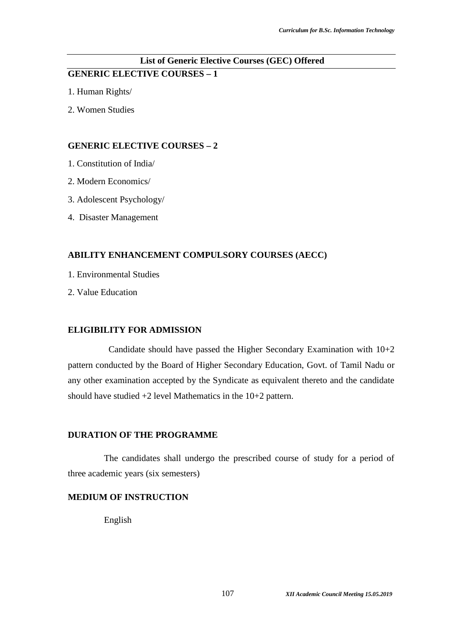# **List of Generic Elective Courses (GEC) Offered GENERIC ELECTIVE COURSES – 1**

- 1. Human Rights/
- 2. Women Studies

#### **GENERIC ELECTIVE COURSES – 2**

- 1. Constitution of India/
- 2. Modern Economics/
- 3. Adolescent Psychology/
- 4. Disaster Management

# **ABILITY ENHANCEMENT COMPULSORY COURSES (AECC)**

- 1. Environmental Studies
- 2. Value Education

#### **ELIGIBILITY FOR ADMISSION**

Candidate should have passed the Higher Secondary Examination with 10+2 pattern conducted by the Board of Higher Secondary Education, Govt. of Tamil Nadu or any other examination accepted by the Syndicate as equivalent thereto and the candidate should have studied +2 level Mathematics in the 10+2 pattern.

# **DURATION OF THE PROGRAMME**

The candidates shall undergo the prescribed course of study for a period of three academic years (six semesters)

# **MEDIUM OF INSTRUCTION**

English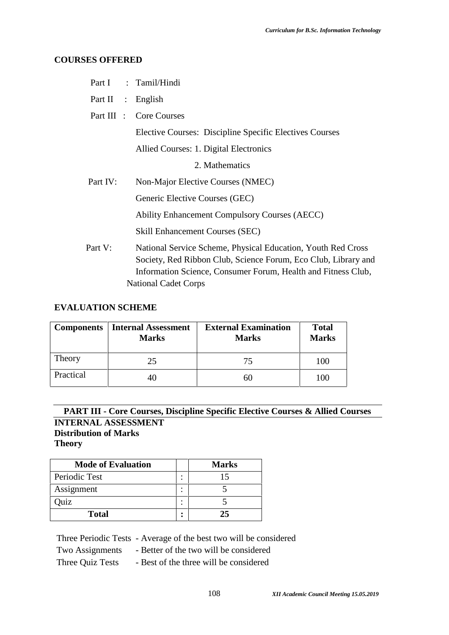# **COURSES OFFERED**

|          | Part I : Tamil/Hindi                                           |
|----------|----------------------------------------------------------------|
|          | Part II : English                                              |
|          | Part III : Core Courses                                        |
|          | Elective Courses: Discipline Specific Electives Courses        |
|          | Allied Courses: 1. Digital Electronics                         |
|          | 2. Mathematics                                                 |
| Part IV: | Non-Major Elective Courses (NMEC)                              |
|          | Generic Elective Courses (GEC)                                 |
|          | <b>Ability Enhancement Compulsory Courses (AECC)</b>           |
|          | <b>Skill Enhancement Courses (SEC)</b>                         |
| Part V:  | National Service Scheme, Physical Education, Youth Red Cross   |
|          | Society, Red Ribbon Club, Science Forum, Eco Club, Library and |
|          | Information Science, Consumer Forum, Health and Fitness Club,  |
|          | <b>National Cadet Corps</b>                                    |

# **EVALUATION SCHEME**

| <b>Components</b> | <b>Internal Assessment</b><br><b>Marks</b> | <b>External Examination</b><br><b>Marks</b> | <b>Total</b><br><b>Marks</b> |
|-------------------|--------------------------------------------|---------------------------------------------|------------------------------|
| Theory            | 25                                         | 75                                          | 100                          |
| Practical         | 40                                         | hU                                          | 100                          |

**PART III - Core Courses, Discipline Specific Elective Courses & Allied Courses INTERNAL ASSESSMENT Distribution of Marks Theory**

| <b>Mode of Evaluation</b> |        | <b>Marks</b> |
|---------------------------|--------|--------------|
| Periodic Test             | ٠<br>٠ |              |
| Assignment                | ٠<br>٠ |              |
| uiz                       | ٠<br>٠ |              |
| <b>Total</b>              | ٠      | クミ           |

Three Periodic Tests - Average of the best two will be considered

Two Assignments - Better of the two will be considered

Three Quiz Tests - Best of the three will be considered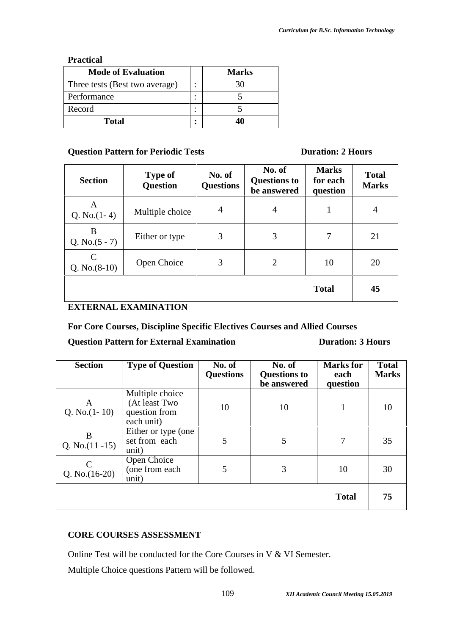## **Practical**

| <b>Mode of Evaluation</b>      | <b>Marks</b> |
|--------------------------------|--------------|
| Three tests (Best two average) |              |
| Performance                    |              |
| Record                         |              |
| Total                          |              |

# **Question Pattern for Periodic Tests Duration: 2 Hours**

| <b>Section</b>        | <b>Type of</b><br><b>Question</b> | No. of<br><b>Questions</b> | No. of<br><b>Questions to</b><br>be answered | <b>Marks</b><br>for each<br>question | <b>Total</b><br><b>Marks</b> |
|-----------------------|-----------------------------------|----------------------------|----------------------------------------------|--------------------------------------|------------------------------|
| A<br>Q. No. $(1-4)$   | Multiple choice                   | $\overline{4}$             | 4                                            | 1                                    | 4                            |
| B<br>Q. No. $(5 - 7)$ | Either or type                    | 3                          | 3                                            | 7                                    | 21                           |
| C<br>Q. No. $(8-10)$  | Open Choice                       | 3                          | $\overline{2}$                               | 10                                   | 20                           |
|                       |                                   |                            |                                              | <b>Total</b>                         | 45                           |

# **EXTERNAL EXAMINATION**

**For Core Courses, Discipline Specific Electives Courses and Allied Courses**

# **Question Pattern for External Examination Duration: 3 Hours**

| <b>Section</b>                    | <b>Type of Question</b>                                         | No. of<br><b>Questions</b> | No. of<br><b>Questions to</b><br>be answered | <b>Marks</b> for<br>each<br>question | <b>Total</b><br><b>Marks</b> |
|-----------------------------------|-----------------------------------------------------------------|----------------------------|----------------------------------------------|--------------------------------------|------------------------------|
| A<br>Q. No. $(1-10)$              | Multiple choice<br>(At least Two<br>question from<br>each unit) | 10                         | 10                                           | 1                                    | 10                           |
| B<br>Q. No. $(11 - 15)$           | Either or type (one<br>set from each<br>unit)                   | 5                          | 5                                            | $\overline{7}$                       | 35                           |
| $\mathcal{C}$<br>Q. No. $(16-20)$ | Open Choice<br>(one from each<br>unit)                          | 5                          | 3                                            | 10                                   | 30                           |
|                                   |                                                                 |                            |                                              | <b>Total</b>                         | 75                           |

# **CORE COURSES ASSESSMENT**

Online Test will be conducted for the Core Courses in V & VI Semester.

Multiple Choice questions Pattern will be followed.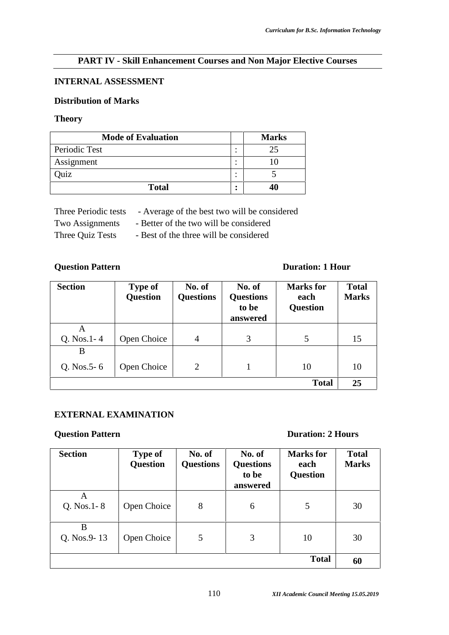# **PART IV - Skill Enhancement Courses and Non Major Elective Courses**

# **INTERNAL ASSESSMENT**

# **Distribution of Marks**

## **Theory**

| <b>Mode of Evaluation</b> | <b>Marks</b> |  |
|---------------------------|--------------|--|
| Periodic Test             | 25           |  |
| Assignment                |              |  |
| )uiz                      |              |  |
| <b>Total</b>              | 40           |  |

Three Periodic tests - Average of the best two will be considered

Two Assignments - Better of the two will be considered

Three Quiz Tests - Best of the three will be considered

# **Question Pattern Duration: 1 Hour**

| <b>Section</b>  | <b>Type of</b><br><b>Question</b> | No. of<br><b>Questions</b> | No. of<br><b>Questions</b><br>to be<br>answered | <b>Marks</b> for<br>each<br><b>Question</b> | <b>Total</b><br><b>Marks</b> |
|-----------------|-----------------------------------|----------------------------|-------------------------------------------------|---------------------------------------------|------------------------------|
| A               |                                   |                            |                                                 |                                             |                              |
| $Q. Nos. 1-4$   | Open Choice                       | 4                          | 3                                               | 5                                           | 15                           |
| B               |                                   |                            |                                                 |                                             |                              |
| Q. Nos. $5 - 6$ | Open Choice                       | $\overline{2}$             |                                                 | 10                                          | 10                           |
|                 |                                   |                            |                                                 | <b>Total</b>                                | 25                           |

# **EXTERNAL EXAMINATION**

# **Question Pattern Duration: 2 Hours**

| <b>Section</b>       | <b>Type of</b><br><b>Question</b> | No. of<br><b>Questions</b> | No. of<br><b>Questions</b><br>to be<br>answered | <b>Marks</b> for<br>each<br><b>Question</b> | <b>Total</b><br><b>Marks</b> |
|----------------------|-----------------------------------|----------------------------|-------------------------------------------------|---------------------------------------------|------------------------------|
| A<br>$Q. Nos. 1 - 8$ | Open Choice                       | 8                          | 6                                               | 5                                           | 30                           |
| B<br>Q. Nos.9-13     | Open Choice                       | 5                          | 3                                               | 10                                          | 30                           |
|                      |                                   |                            |                                                 | <b>Total</b>                                | 60                           |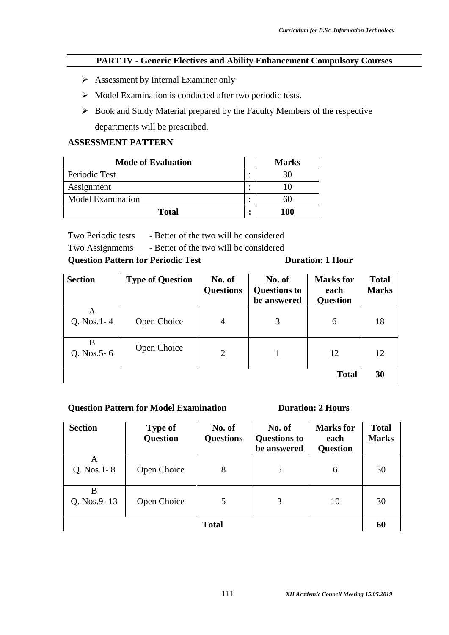# **PART IV - Generic Electives and Ability Enhancement Compulsory Courses**

- $\triangleright$  Assessment by Internal Examiner only
- $\triangleright$  Model Examination is conducted after two periodic tests.
- $\triangleright$  Book and Study Material prepared by the Faculty Members of the respective departments will be prescribed.

# **ASSESSMENT PATTERN**

| <b>Mode of Evaluation</b> | <b>Marks</b> |
|---------------------------|--------------|
| Periodic Test             |              |
| Assignment                |              |
| <b>Model Examination</b>  | าเ           |
| <b>Total</b>              | 100          |

Two Periodic tests - Better of the two will be considered

Two Assignments - Better of the two will be considered

## **Question Pattern for Periodic Test Duration: 1 Hour**

| <b>Section</b>       | <b>Type of Question</b> | No. of<br><b>Questions</b> | No. of<br><b>Questions to</b><br>be answered | <b>Marks</b> for<br>each<br><b>Question</b> | <b>Total</b><br><b>Marks</b> |
|----------------------|-------------------------|----------------------------|----------------------------------------------|---------------------------------------------|------------------------------|
| A<br>$Q. Nos. 1 - 4$ | Open Choice             | 4                          | 3                                            | 6                                           | 18                           |
| B<br>Q. Nos. $5 - 6$ | Open Choice             | 2                          |                                              | 12                                          | 12                           |
|                      |                         |                            |                                              | <b>Total</b>                                | 30                           |

## **Question Pattern for Model Examination Duration: 2 Hours**

| <b>Section</b>       | <b>Type of</b><br><b>Question</b> | No. of<br><b>Questions</b> | No. of<br><b>Questions to</b><br>be answered | <b>Marks</b> for<br>each<br><b>Question</b> | <b>Total</b><br><b>Marks</b> |
|----------------------|-----------------------------------|----------------------------|----------------------------------------------|---------------------------------------------|------------------------------|
| Α<br>$Q. Nos. 1 - 8$ | Open Choice                       | 8                          | 5                                            | 6                                           | 30                           |
| B<br>Q. Nos.9-13     | Open Choice                       | 5                          | 3                                            | 10                                          | 30                           |
|                      |                                   | <b>Total</b>               |                                              |                                             | 60                           |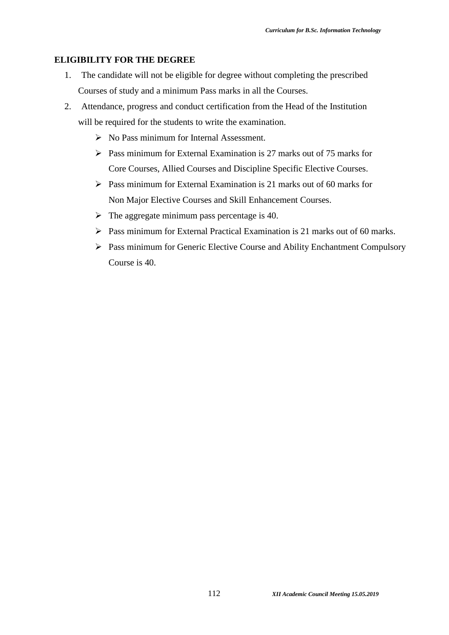# **ELIGIBILITY FOR THE DEGREE**

- 1. The candidate will not be eligible for degree without completing the prescribed Courses of study and a minimum Pass marks in all the Courses.
- 2. Attendance, progress and conduct certification from the Head of the Institution will be required for the students to write the examination.
	- $\triangleright$  No Pass minimum for Internal Assessment.
	- $\triangleright$  Pass minimum for External Examination is 27 marks out of 75 marks for Core Courses, Allied Courses and Discipline Specific Elective Courses.
	- $\triangleright$  Pass minimum for External Examination is 21 marks out of 60 marks for Non Major Elective Courses and Skill Enhancement Courses.
	- $\triangleright$  The aggregate minimum pass percentage is 40.
	- Pass minimum for External Practical Examination is 21 marks out of 60 marks.
	- Pass minimum for Generic Elective Course and Ability Enchantment Compulsory Course is 40.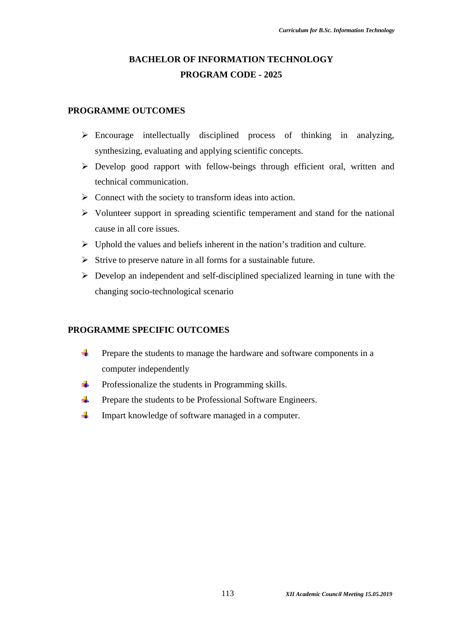# **BACHELOR OF INFORMATION TECHNOLOGY PROGRAM CODE - 2025**

#### **PROGRAMME OUTCOMES**

- $\triangleright$  Encourage intellectually disciplined process of thinking in analyzing, synthesizing, evaluating and applying scientific concepts.
- $\triangleright$  Develop good rapport with fellow-beings through efficient oral, written and technical communication.
- $\triangleright$  Connect with the society to transform ideas into action.
- $\triangleright$  Volunteer support in spreading scientific temperament and stand for the national cause in all core issues.
- $\triangleright$  Uphold the values and beliefs inherent in the nation's tradition and culture.
- $\triangleright$  Strive to preserve nature in all forms for a sustainable future.
- $\triangleright$  Develop an independent and self-disciplined specialized learning in tune with the changing socio-technological scenario

## **PROGRAMME SPECIFIC OUTCOMES**

- $\mathbf{L}$ Prepare the students to manage the hardware and software components in a computer independently
- $\frac{1}{2}$ Professionalize the students in Programming skills.
- **Tale** Prepare the students to be Professional Software Engineers.
- **H** Impart knowledge of software managed in a computer.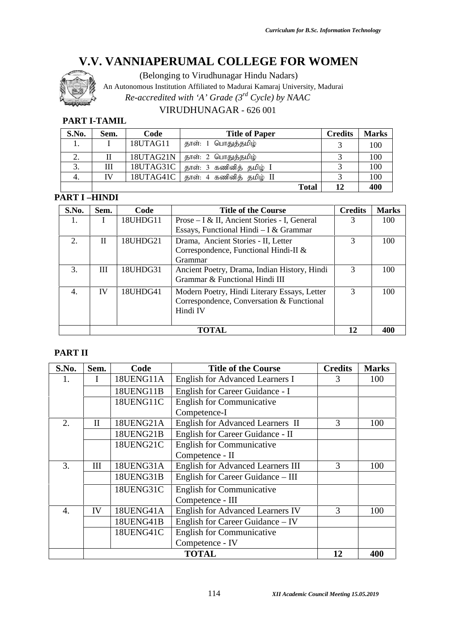

(Belonging to Virudhunagar Hindu Nadars)

An Autonomous Institution Affiliated to Madurai Kamaraj University, Madurai

*Re-accredited with 'A' Grade (3rd Cycle) by NAAC*

# VIRUDHUNAGAR - 626 001

# **PART I-TAMIL**

| S.No. | Sem. | Code      | <b>Title of Paper</b>    |              | <b>Credits</b> | <b>Marks</b> |
|-------|------|-----------|--------------------------|--------------|----------------|--------------|
|       |      | 18UTAG11  | தாள்: 1 பொதுத்தமிழ்      |              |                | 100          |
|       | П    | 18UTAG21N | தாள்: 2 பொதுத்தமிழ்      |              |                | 100          |
| J.    | Ш    | 18UTAG31C | தாள்: 3 கணினித் தமிழ் I  |              |                | 100          |
| 4.    | IV   | 18UTAG41C | தாள்: 4 கணினித் தமிழ் II |              |                | 100          |
|       |      |           |                          | <b>Total</b> | 12             | 400          |

# **PART I –HINDI**

| S.No. | Sem.      | Code     | <b>Title of the Course</b>                                                                            | <b>Credits</b> | <b>Marks</b> |
|-------|-----------|----------|-------------------------------------------------------------------------------------------------------|----------------|--------------|
| Ι.    |           | 18UHDG11 | Prose – I & II, Ancient Stories - I, General<br>Essays, Functional Hindi – I & Grammar                | 3              | 100          |
| 2.    | П         | 18UHDG21 | Drama, Ancient Stories - II, Letter<br>Correspondence, Functional Hindi-II &<br>Grammar               | 3              | 100          |
| 3.    | Ш         | 18UHDG31 | Ancient Poetry, Drama, Indian History, Hindi<br>Grammar & Functional Hindi III                        | 3              | 100          |
| 4.    | <b>IV</b> | 18UHDG41 | Modern Poetry, Hindi Literary Essays, Letter<br>Correspondence, Conversation & Functional<br>Hindi IV | 3              | 100          |
|       |           |          | <b>TOTAL</b>                                                                                          | 12             | 400          |

# **PART II**

| S.No. | Sem.         | Code      | <b>Title of the Course</b>               | <b>Credits</b> | <b>Marks</b> |
|-------|--------------|-----------|------------------------------------------|----------------|--------------|
| 1.    |              | 18UENG11A | <b>English for Advanced Learners I</b>   | 3              | 100          |
|       |              | 18UENG11B | English for Career Guidance - I          |                |              |
|       |              | 18UENG11C | <b>English for Communicative</b>         |                |              |
|       |              |           | Competence-I                             |                |              |
| 2.    | $\mathbf{I}$ | 18UENG21A | <b>English for Advanced Learners II</b>  | 3              | 100          |
|       |              | 18UENG21B | English for Career Guidance - II         |                |              |
|       |              | 18UENG21C | <b>English for Communicative</b>         |                |              |
|       |              |           | Competence - II                          |                |              |
| 3.    | Ш            | 18UENG31A | <b>English for Advanced Learners III</b> | 3              | 100          |
|       |              | 18UENG31B | English for Career Guidance – III        |                |              |
|       |              | 18UENG31C | <b>English for Communicative</b>         |                |              |
|       |              |           | Competence - III                         |                |              |
| 4.    | IV           | 18UENG41A | <b>English for Advanced Learners IV</b>  | 3              | 100          |
|       |              | 18UENG41B | English for Career Guidance - IV         |                |              |
|       |              | 18UENG41C | <b>English for Communicative</b>         |                |              |
|       |              |           | Competence - IV                          |                |              |
|       |              |           | <b>TOTAL</b>                             | 12             | 400          |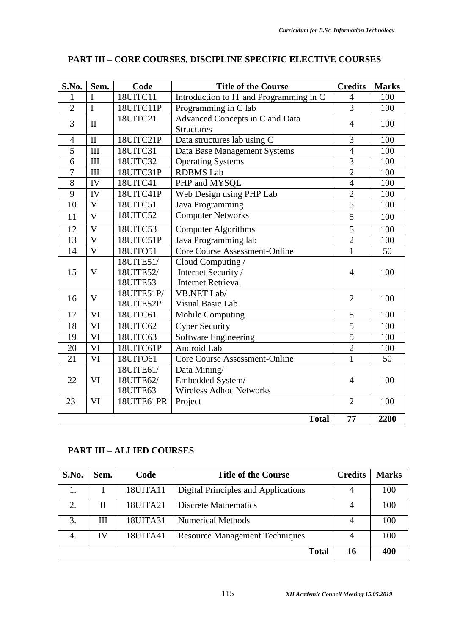| S.No.          | Sem.                    | Code       | <b>Title of the Course</b>              | <b>Credits</b> | <b>Marks</b> |
|----------------|-------------------------|------------|-----------------------------------------|----------------|--------------|
| 1              | I                       | 18UITC11   | Introduction to IT and Programming in C | $\overline{4}$ | 100          |
| $\overline{2}$ | I                       | 18UITC11P  | Programming in C lab                    | $\overline{3}$ | 100          |
| 3              | $\mathbf{I}$            | 18UITC21   | Advanced Concepts in C and Data         | $\overline{4}$ | 100          |
|                |                         |            | <b>Structures</b>                       |                |              |
| $\overline{4}$ | $\overline{\rm II}$     | 18UITC21P  | Data structures lab using C             | $\overline{3}$ | 100          |
| 5              | III                     | 18UITC31   | Data Base Management Systems            | $\overline{4}$ | 100          |
| 6              | III                     | 18UITC32   | <b>Operating Systems</b>                | $\overline{3}$ | 100          |
| $\overline{7}$ | III                     | 18UITC31P  | <b>RDBMS</b> Lab                        | $\overline{2}$ | 100          |
| 8              | IV                      | 18UITC41   | PHP and MYSQL                           | $\overline{4}$ | 100          |
| 9              | IV                      | 18UITC41P  | Web Design using PHP Lab                | $\overline{2}$ | 100          |
| 10             | $\mathbf{V}$            | 18UITC51   | Java Programming                        | 5              | 100          |
| 11             | $\overline{\mathbf{V}}$ | 18UITC52   | <b>Computer Networks</b>                | 5              | 100          |
| 12             | $\mathbf{V}$            | 18UITC53   | <b>Computer Algorithms</b>              | 5              | 100          |
| 13             | $\overline{\mathsf{V}}$ | 18UITC51P  | Java Programming lab                    | $\overline{2}$ | 100          |
| 14             | $\overline{V}$          | 18UITO51   | <b>Core Course Assessment-Online</b>    | $\mathbf{1}$   | 50           |
|                |                         | 18UITE51/  | Cloud Computing /                       |                |              |
| 15             | $\mathbf{V}$            | 18UITE52/  | Internet Security /                     | $\overline{4}$ | 100          |
|                |                         | 18UITE53   | <b>Internet Retrieval</b>               |                |              |
| 16             | $\mathbf{V}$            | 18UITE51P/ | VB.NET Lab/                             | $\overline{2}$ | 100          |
|                |                         | 18UITE52P  | Visual Basic Lab                        |                |              |
| 17             | VI                      | 18UITC61   | <b>Mobile Computing</b>                 | 5              | 100          |
| 18             | VI                      | 18UITC62   | <b>Cyber Security</b>                   | 5              | 100          |
| 19             | VI                      | 18UITC63   | Software Engineering                    | 5              | 100          |
| 20             | VI                      | 18UITC61P  | Android Lab                             | $\overline{2}$ | 100          |
| 21             | VI                      | 18UITO61   | Core Course Assessment-Online           | $\mathbf{1}$   | 50           |
|                |                         | 18UITE61/  | Data Mining/                            |                |              |
| 22             | VI                      | 18UITE62/  | Embedded System/                        | $\overline{4}$ | 100          |
|                |                         | 18UITE63   | <b>Wireless Adhoc Networks</b>          |                |              |
| 23             | VI                      | 18UITE61PR | Project                                 | $\overline{2}$ | 100          |
|                |                         |            | <b>Total</b>                            | 77             | 2200         |

# **PART III – CORE COURSES, DISCIPLINE SPECIFIC ELECTIVE COURSES**

# **PART III – ALLIED COURSES**

| S.No. | Sem. | Code     | <b>Title of the Course</b>            | <b>Credits</b> | <b>Marks</b> |
|-------|------|----------|---------------------------------------|----------------|--------------|
| 1.    |      | 18UITA11 | Digital Principles and Applications   |                | 100          |
| 2.    | Н    | 18UITA21 | <b>Discrete Mathematics</b>           | 4              | 100          |
| 3.    | Ш    | 18UITA31 | <b>Numerical Methods</b>              |                | 100          |
| 4.    | IV   | 18UITA41 | <b>Resource Management Techniques</b> |                | 100          |
|       |      |          | <b>Total</b>                          | 16             | 400          |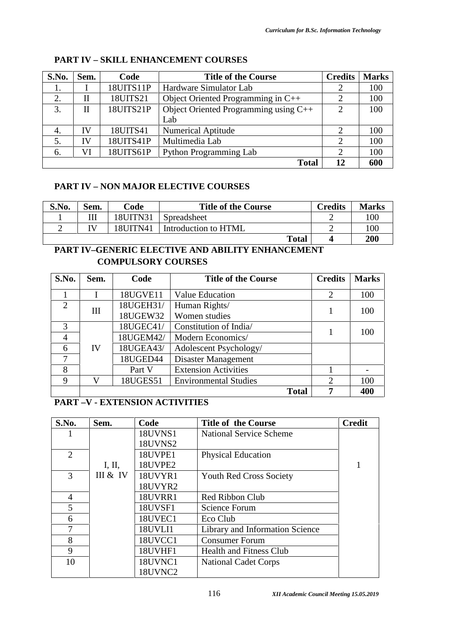| S.No. | Sem.         | Code      | <b>Title of the Course</b>              | <b>Credits</b>        | <b>Marks</b> |
|-------|--------------|-----------|-----------------------------------------|-----------------------|--------------|
| 1.    |              | 18UITS11P | Hardware Simulator Lab                  |                       | 100          |
| 2.    | $\mathbf{I}$ | 18UITS21  | Object Oriented Programming in $C++$    |                       | 100          |
| 3     | П            | 18UITS21P | Object Oriented Programming using $C++$ | 2                     | 100          |
|       |              |           | Lab                                     |                       |              |
| 4.    | IV           | 18UITS41  | <b>Numerical Aptitude</b>               |                       | 100          |
| 5.    | IV           | 18UITS41P | Multimedia Lab                          | $\mathcal{D}_{\cdot}$ | 100          |
| 6.    | VI           | 18UITS61P | <b>Python Programming Lab</b>           | 2                     | 100          |
|       |              |           | <b>Total</b>                            | 12                    | 600          |

# **PART IV – SKILL ENHANCEMENT COURSES**

# **PART IV – NON MAJOR ELECTIVE COURSES**

| S.No. | sem. | Code     | <b>Title of the Course</b> | Credits | <b>Marks</b> |
|-------|------|----------|----------------------------|---------|--------------|
|       | Ш    | 18UITN31 | Spreadsheet                |         | 100          |
|       | TV   | 18UITN41 | Introduction to HTML       |         | 100          |
|       |      |          | <b>Total</b>               |         | 200          |

# **PART IV–GENERIC ELECTIVE AND ABILITY ENHANCEMENT COMPULSORY COURSES**

| S.No. | Sem. | Code      | <b>Title of the Course</b>   | <b>Credits</b>              | <b>Marks</b> |
|-------|------|-----------|------------------------------|-----------------------------|--------------|
|       |      | 18UGVE11  | Value Education              | $\overline{2}$              | 100          |
| 2     |      | 18UGEH31/ | Human Rights/                |                             |              |
|       | Ш    | 18UGEW32  | Women studies                |                             | 100          |
| 3     |      | 18UGEC41/ | Constitution of India        |                             | 100          |
| 4     |      | 18UGEM42/ | Modern Economics/            |                             |              |
| 6     | IV   | 18UGEA43/ | Adolescent Psychology/       |                             |              |
| 7     |      | 18UGED44  | Disaster Management          |                             |              |
| 8     |      | Part V    | <b>Extension Activities</b>  |                             |              |
| 9     | V    | 18UGES51  | <b>Environmental Studies</b> | $\mathcal{D}_{\mathcal{A}}$ | 100          |
|       |      |           | <b>Total</b>                 |                             | 400          |

# **PART –V - EXTENSION ACTIVITIES**

| S.No.          | Sem.     | Code           | <b>Title of the Course</b>      | <b>Credit</b> |
|----------------|----------|----------------|---------------------------------|---------------|
| Ι.             |          | <b>18UVNS1</b> | <b>National Service Scheme</b>  |               |
|                |          | 18UVNS2        |                                 |               |
| $\overline{2}$ |          | 18UVPE1        | <b>Physical Education</b>       |               |
|                | I, II,   | 18UVPE2        |                                 |               |
| 3              | III & IV | 18UVYR1        | <b>Youth Red Cross Society</b>  |               |
|                |          | 18UVYR2        |                                 |               |
| $\overline{4}$ |          | <b>18UVRR1</b> | Red Ribbon Club                 |               |
| 5              |          | 18UVSF1        | <b>Science Forum</b>            |               |
| 6              |          | 18UVEC1        | Eco Club                        |               |
| 7              |          | 18UVLI1        | Library and Information Science |               |
| 8              |          | 18UVCC1        | <b>Consumer Forum</b>           |               |
| 9              |          | 18UVHF1        | <b>Health and Fitness Club</b>  |               |
| 10             |          | 18UVNC1        | <b>National Cadet Corps</b>     |               |
|                |          | 18UVNC2        |                                 |               |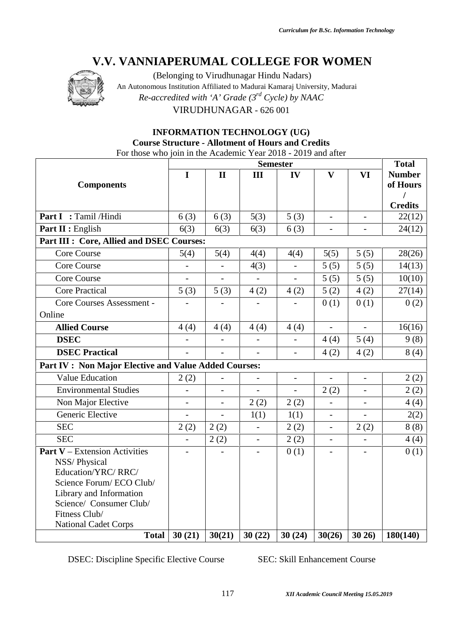

(Belonging to Virudhunagar Hindu Nadars) An Autonomous Institution Affiliated to Madurai Kamaraj University, Madurai *Re-accredited with 'A' Grade (3rd Cycle) by NAAC* VIRUDHUNAGAR - 626 001

#### **INFORMATION TECHNOLOGY (UG) Course Structure - Allotment of Hours and Credits** For those who join in the Academic Year 2018 - 2019 and after

|                                                       |                          | <b>Semester</b> |                          |                          |                          |                          |                                                         |  |
|-------------------------------------------------------|--------------------------|-----------------|--------------------------|--------------------------|--------------------------|--------------------------|---------------------------------------------------------|--|
| <b>Components</b>                                     | I                        | $\mathbf{I}$    | III                      | IV                       | $\overline{\mathbf{V}}$  | <b>VI</b>                | <b>Number</b><br>of Hours<br>$\prime$<br><b>Credits</b> |  |
| Part I : Tamil /Hindi                                 | 6(3)                     | 6(3)            | 5(3)                     | 5(3)                     | $\frac{1}{2}$            | $\overline{\phantom{a}}$ | 22(12)                                                  |  |
| Part II : English                                     | 6(3)                     | 6(3)            | 6(3)                     | 6(3)                     |                          |                          | 24(12)                                                  |  |
| Part III : Core, Allied and DSEC Courses:             |                          |                 |                          |                          |                          |                          |                                                         |  |
| <b>Core Course</b>                                    | 5(4)                     | 5(4)            | 4(4)                     | 4(4)                     | 5(5)                     | 5(5)                     | 28(26)                                                  |  |
| Core Course                                           |                          |                 | 4(3)                     | $\overline{a}$           | 5(5)                     | 5(5)                     | 14(13)                                                  |  |
| <b>Core Course</b>                                    | $\overline{a}$           | $\overline{a}$  | $\equiv$                 | $\equiv$                 | 5(5)                     | 5(5)                     | 10(10)                                                  |  |
| <b>Core Practical</b>                                 | 5(3)                     | 5(3)            | 4(2)                     | 4(2)                     | 5(2)                     | 4(2)                     | 27(14)                                                  |  |
| Core Courses Assessment -                             |                          |                 |                          |                          | 0(1)                     | 0(1)                     | 0(2)                                                    |  |
| Online                                                |                          |                 |                          |                          |                          |                          |                                                         |  |
| <b>Allied Course</b>                                  | 4(4)                     | 4(4)            | 4(4)                     | 4(4)                     |                          |                          | 16(16)                                                  |  |
| <b>DSEC</b>                                           | $\overline{a}$           |                 | $\overline{a}$           | $\overline{a}$           | 4(4)                     | 5(4)                     | 9(8)                                                    |  |
| <b>DSEC Practical</b>                                 | $\overline{a}$           |                 | $\blacksquare$           | $\overline{a}$           | 4(2)                     | 4(2)                     | 8(4)                                                    |  |
| Part IV : Non Major Elective and Value Added Courses: |                          |                 |                          |                          |                          |                          |                                                         |  |
| <b>Value Education</b>                                | 2(2)                     |                 |                          | $\overline{\phantom{0}}$ |                          | $\overline{\phantom{a}}$ | 2(2)                                                    |  |
| <b>Environmental Studies</b>                          | $\blacksquare$           |                 | $\blacksquare$           | $\overline{\phantom{0}}$ | 2(2)                     | $\overline{\phantom{a}}$ | 2(2)                                                    |  |
| Non Major Elective                                    |                          |                 | 2(2)                     | 2(2)                     |                          |                          | 4(4)                                                    |  |
| Generic Elective                                      | $\overline{\phantom{0}}$ | $\blacksquare$  | 1(1)                     | 1(1)                     | $\qquad \qquad -$        | $\overline{a}$           | 2(2)                                                    |  |
| <b>SEC</b>                                            | 2(2)                     | 2(2)            | $\overline{a}$           | 2(2)                     | $\overline{a}$           | 2(2)                     | 8(8)                                                    |  |
| <b>SEC</b>                                            | $\overline{a}$           | 2(2)            | $\overline{\phantom{0}}$ | 2(2)                     | $\overline{a}$           |                          | 4(4)                                                    |  |
| <b>Part V</b> – Extension Activities<br>NSS/Physical  | $\blacksquare$           |                 | $\blacksquare$           | 0(1)                     | $\overline{\phantom{a}}$ | $\overline{\phantom{a}}$ | 0(1)                                                    |  |
| Education/YRC/RRC/                                    |                          |                 |                          |                          |                          |                          |                                                         |  |
| Science Forum/ECO Club/                               |                          |                 |                          |                          |                          |                          |                                                         |  |
| Library and Information                               |                          |                 |                          |                          |                          |                          |                                                         |  |
| Science/ Consumer Club/                               |                          |                 |                          |                          |                          |                          |                                                         |  |
| Fitness Club/                                         |                          |                 |                          |                          |                          |                          |                                                         |  |
| <b>National Cadet Corps</b><br><b>Total</b>           | 30(21)                   | 30(21)          | 30(22)                   | 30(24)                   | 30(26)                   | 3026                     | 180(140)                                                |  |
|                                                       |                          |                 |                          |                          |                          |                          |                                                         |  |

DSEC: Discipline Specific Elective Course SEC: Skill Enhancement Course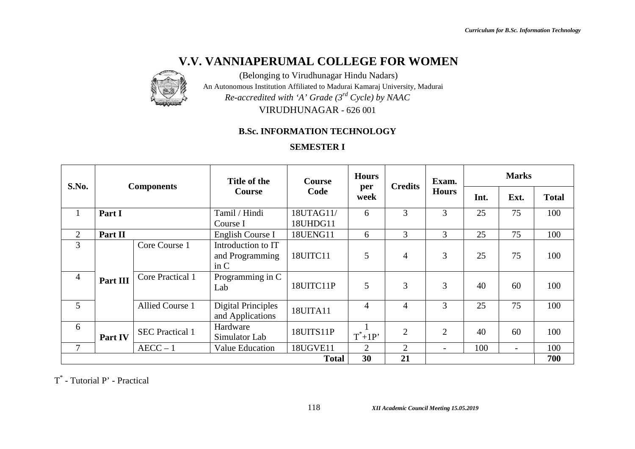

(Belonging to Virudhunagar Hindu Nadars) An Autonomous Institution Affiliated to Madurai Kamaraj University, Madurai *Re-accredited with 'A' Grade (3rd Cycle) by NAAC* VIRUDHUNAGAR - 626 001

# **B.Sc. INFORMATION TECHNOLOGY**

# **SEMESTER I**

| S.No.          |          | <b>Components</b>      | Title of the                                  | <b>Course</b>         | <b>Hours</b>   | <b>Credits</b> | Exam.                    | <b>Marks</b> |                          |              |
|----------------|----------|------------------------|-----------------------------------------------|-----------------------|----------------|----------------|--------------------------|--------------|--------------------------|--------------|
|                |          |                        | <b>Course</b>                                 | Code                  | per<br>week    |                | <b>Hours</b>             | Int.         | Ext.                     | <b>Total</b> |
| $\mathbf{1}$   | Part I   |                        | Tamil / Hindi<br>Course I                     | 18UTAG11/<br>18UHDG11 | 6              | 3              | 3                        | 25           | 75                       | 100          |
| $\overline{2}$ | Part II  |                        | English Course I                              | 18UENG11              | 6              | 3              | $\overline{3}$           | 25           | 75                       | 100          |
| 3              |          | Core Course 1          | Introduction to IT<br>and Programming<br>in C | 18UITC11              | 5              | $\overline{4}$ | 3                        | 25           | 75                       | 100          |
| $\overline{4}$ | Part III | Core Practical 1       | Programming in C<br>Lab                       | 18UITC11P             | 5              | 3              | 3                        | 40           | 60                       | 100          |
| 5              |          | <b>Allied Course 1</b> | <b>Digital Principles</b><br>and Applications | 18UITA11              | 4              | $\overline{4}$ | 3                        | 25           | 75                       | 100          |
| 6              | Part IV  | <b>SEC Practical 1</b> | Hardware<br>Simulator Lab                     | 18UITS11P             | $T^*+1P'$      | $\overline{2}$ | $\overline{2}$           | 40           | 60                       | 100          |
| $\tau$         |          | $AECC - 1$             | <b>Value Education</b>                        | 18UGVE11              | $\overline{2}$ | $\overline{2}$ | $\overline{\phantom{0}}$ | 100          | $\overline{\phantom{0}}$ | 100          |
|                |          |                        |                                               | <b>Total</b>          | 30             | 21             |                          |              |                          | 700          |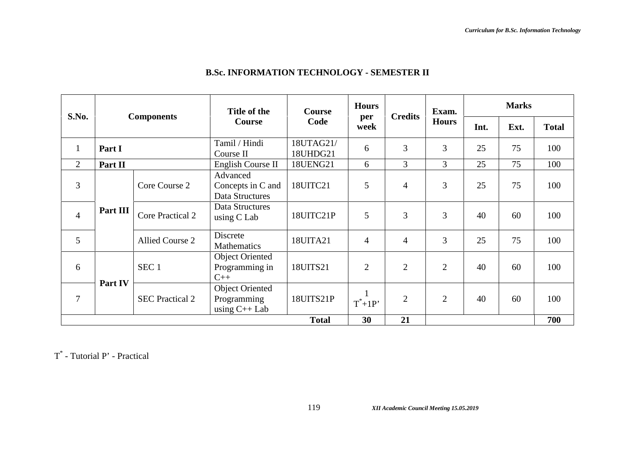| S.No.          |          |                         | Title of the                                             | <b>Course</b>         | <b>Hours</b>   | <b>Credits</b> | Exam.          | <b>Marks</b> |      |              |
|----------------|----------|-------------------------|----------------------------------------------------------|-----------------------|----------------|----------------|----------------|--------------|------|--------------|
|                |          | <b>Components</b>       | <b>Course</b>                                            | Code                  | per<br>week    |                | <b>Hours</b>   | Int.         | Ext. | <b>Total</b> |
| $\mathbf{1}$   | Part I   |                         | Tamil / Hindi<br>Course II                               | 18UTAG21/<br>18UHDG21 | 6              | 3              | 3              | 25           | 75   | 100          |
| $\overline{2}$ | Part II  |                         | English Course II                                        | 18UENG21              | 6              | 3              | 3              | 25           | 75   | 100          |
| 3              |          | Core Course 2           | Advanced<br>Concepts in C and<br>Data Structures         | 18UITC21              | 5              | $\overline{4}$ | 3              | 25           | 75   | 100          |
| $\overline{4}$ | Part III | <b>Core Practical 2</b> | Data Structures<br>using C Lab                           | 18UITC21P             | 5              | 3              | 3              | 40           | 60   | 100          |
| 5              |          | <b>Allied Course 2</b>  | Discrete<br><b>Mathematics</b>                           | 18UITA21              | $\overline{4}$ | $\overline{4}$ | 3              | 25           | 75   | 100          |
| 6              |          | SEC <sub>1</sub>        | <b>Object Oriented</b><br>Programming in<br>$C++$        | 18UITS21              | $\overline{2}$ | $\overline{2}$ | $\overline{2}$ | 40           | 60   | 100          |
| 7              | Part IV  | <b>SEC Practical 2</b>  | <b>Object Oriented</b><br>Programming<br>using $C++$ Lab | 18UITS21P             | $T^*+1P'$      | $\overline{2}$ | $\overline{2}$ | 40           | 60   | 100          |
|                |          |                         |                                                          | <b>Total</b>          | 30             | 21             |                |              |      | 700          |

# **B.Sc. INFORMATION TECHNOLOGY - SEMESTER II**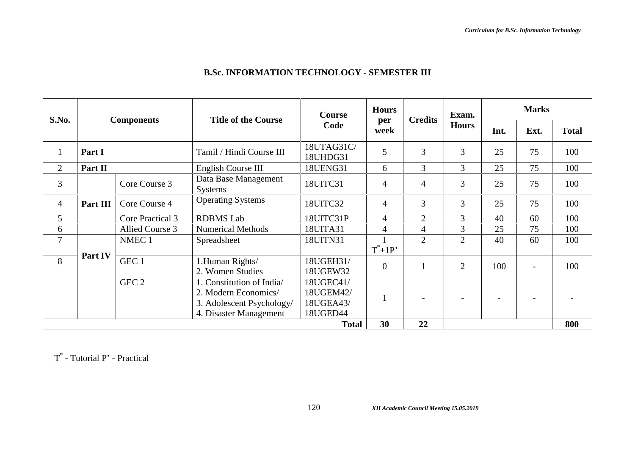| S.No.          |          |                   | <b>Title of the Course</b>             | <b>Course</b>          | <b>Hours</b> | <b>Credits</b> | Exam.          | <b>Marks</b>   |                          |                          |
|----------------|----------|-------------------|----------------------------------------|------------------------|--------------|----------------|----------------|----------------|--------------------------|--------------------------|
|                |          | <b>Components</b> |                                        | Code                   | per<br>week  |                | <b>Hours</b>   | Int.           | Ext.                     | <b>Total</b>             |
| 1              | Part I   |                   | Tamil / Hindi Course III               | 18UTAG31C/<br>18UHDG31 | 5            | 3              | 3              | 25             | 75                       | 100                      |
| $\overline{2}$ | Part II  |                   | English Course III                     | 18UENG31               | 6            | $\mathfrak{Z}$ | 3              | 25             | 75                       | 100                      |
| 3              |          | Core Course 3     | Data Base Management<br><b>Systems</b> | 18UITC31               | 4            | 4              | 3              | 25             | 75                       | 100                      |
| $\overline{4}$ | Part III | Core Course 4     | <b>Operating Systems</b>               | 18UITC32               | 4            | 3              | 3              | 25             | 75                       | 100                      |
| 5              |          | Core Practical 3  | <b>RDBMS</b> Lab                       | 18UITC31P              | 4            | $\overline{2}$ | 3              | 40             | 60                       | 100                      |
| 6              |          | Allied Course 3   | <b>Numerical Methods</b>               | 18UITA31               | 4            | 4              | 3              | 25             | 75                       | 100                      |
| 7              |          | NMEC <sub>1</sub> | Spreadsheet                            | 18UITN31               |              | $\overline{2}$ | $\overline{2}$ | 40             | 60                       | 100                      |
|                |          |                   |                                        |                        | $T^*+1P'$    |                |                |                |                          |                          |
| 8              | Part IV  | GEC 1             | 1.Human Rights/<br>2. Women Studies    | 18UGEH31/<br>18UGEW32  | $\Omega$     |                | $\overline{2}$ | 100            | $\overline{\phantom{a}}$ | 100                      |
|                |          | GEC <sub>2</sub>  | 1. Constitution of India               | 18UGEC41/              |              |                |                |                |                          |                          |
|                |          |                   | 2. Modern Economics/                   | 18UGEM42/              |              |                |                |                |                          |                          |
|                |          |                   | 3. Adolescent Psychology/              | 18UGEA43/              |              |                |                | $\overline{a}$ | $\overline{\phantom{a}}$ | $\overline{\phantom{a}}$ |
|                |          |                   | 4. Disaster Management                 | 18UGED44               |              |                |                |                |                          |                          |
|                |          |                   |                                        | <b>Total</b>           | 30           | 22             |                |                |                          | 800                      |

# **B.Sc. INFORMATION TECHNOLOGY - SEMESTER III**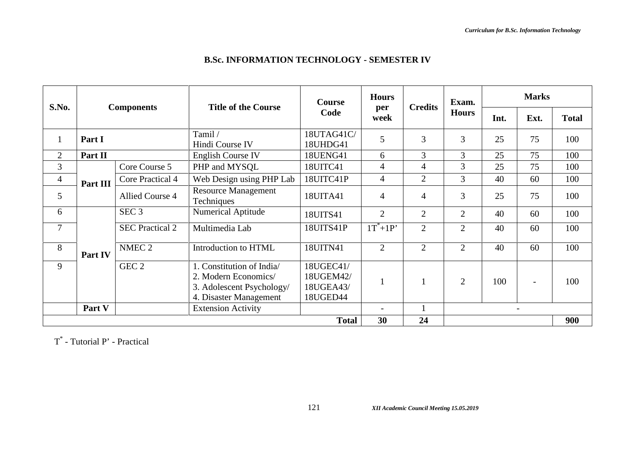|                |          |                        |                                                                                                          | <b>Course</b>                                   | <b>Hours</b>   | <b>Credits</b> | Exam.          | <b>Marks</b> |                          |              |
|----------------|----------|------------------------|----------------------------------------------------------------------------------------------------------|-------------------------------------------------|----------------|----------------|----------------|--------------|--------------------------|--------------|
| S.No.          |          | <b>Components</b>      | <b>Title of the Course</b>                                                                               | Code                                            | per<br>week    |                | <b>Hours</b>   | Int.         | Ext.                     | <b>Total</b> |
|                | Part I   |                        | Tamil /<br>Hindi Course IV                                                                               | 18UTAG41C/<br>18UHDG41                          | 5              | $\overline{3}$ | 3              | 25           | 75                       | 100          |
| $\overline{2}$ | Part II  |                        | <b>English Course IV</b>                                                                                 | 18UENG41                                        | 6              | 3              | 3              | 25           | 75                       | 100          |
| 3              |          | Core Course 5          | PHP and MYSQL                                                                                            | 18UITC41                                        | 4              | 4              | 3              | 25           | 75                       | 100          |
| $\overline{4}$ | Part III | Core Practical 4       | Web Design using PHP Lab                                                                                 | 18UITC41P                                       | $\overline{4}$ | $\overline{2}$ | 3              | 40           | 60                       | 100          |
| 5              |          | Allied Course 4        | <b>Resource Management</b><br>Techniques                                                                 | 18UITA41                                        | $\overline{4}$ | $\overline{4}$ | 3              | 25           | 75                       | 100          |
| 6              |          | SEC <sub>3</sub>       | Numerical Aptitude                                                                                       | 18UITS41                                        | $\overline{2}$ | $\overline{2}$ | $\overline{2}$ | 40           | 60                       | 100          |
| $\overline{7}$ |          | <b>SEC Practical 2</b> | Multimedia Lab                                                                                           | 18UITS41P                                       | $1T^*+1P'$     | $\overline{2}$ | $\overline{2}$ | 40           | 60                       | 100          |
| 8              | Part IV  | NMEC <sub>2</sub>      | Introduction to HTML                                                                                     | 18UITN41                                        | 2              | $\overline{2}$ | $\overline{2}$ | 40           | 60                       | 100          |
| 9              |          | GEC <sub>2</sub>       | 1. Constitution of India/<br>2. Modern Economics/<br>3. Adolescent Psychology/<br>4. Disaster Management | 18UGEC41/<br>18UGEM42/<br>18UGEA43/<br>18UGED44 |                |                | $\overline{2}$ | 100          |                          | 100          |
|                | Part V   |                        | <b>Extension Activity</b>                                                                                |                                                 |                |                |                |              | $\overline{\phantom{a}}$ |              |
|                |          |                        |                                                                                                          | <b>Total</b>                                    | 30             | 24             |                |              |                          | 900          |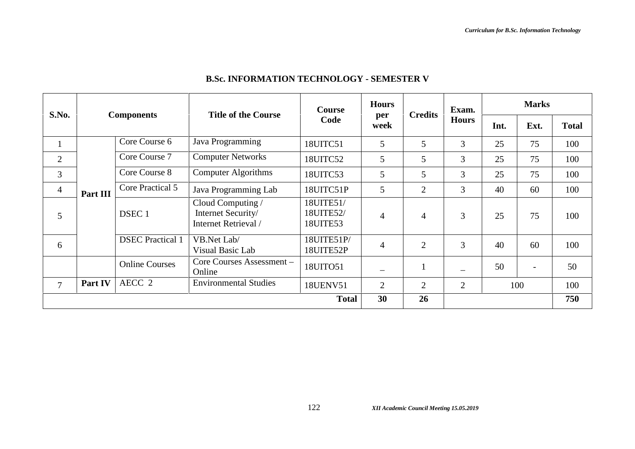|                |          |                         |                                                                 | <b>Course</b>                      | <b>Hours</b> | <b>Credits</b> | Exam.          | <b>Marks</b> |                          |              |
|----------------|----------|-------------------------|-----------------------------------------------------------------|------------------------------------|--------------|----------------|----------------|--------------|--------------------------|--------------|
| S.No.          |          | <b>Components</b>       | <b>Title of the Course</b>                                      | Code                               | per<br>week  |                | <b>Hours</b>   | Int.         | Ext.                     | <b>Total</b> |
| $\perp$        |          | Core Course 6           | Java Programming                                                | 18UITC51                           | 5            | 5              | 3              | 25           | 75                       | 100          |
| $\overline{2}$ |          | Core Course 7           | <b>Computer Networks</b>                                        | 18UITC52                           | 5            | 5              | 3              | 25           | 75                       | 100          |
| 3              |          | Core Course 8           | <b>Computer Algorithms</b>                                      | 18UITC53                           | 5            | 5              | 3              | 25           | 75                       | 100          |
| 4              | Part III | Core Practical 5        | Java Programming Lab                                            | 18UITC51P                          | 5            | $\overline{2}$ | 3              | 40           | 60                       | 100          |
| 5              |          | DSEC <sub>1</sub>       | Cloud Computing /<br>Internet Security/<br>Internet Retrieval / | 18UITE51/<br>18UITE52/<br>18UITE53 | 4            | $\overline{4}$ | 3              | 25           | 75                       | 100          |
| 6              |          | <b>DSEC</b> Practical 1 | VB.Net Lab/<br>Visual Basic Lab                                 | 18UITE51P/<br>18UITE52P            | 4            | $\overline{2}$ | 3              | 40           | 60                       | 100          |
|                |          | <b>Online Courses</b>   | Core Courses Assessment -<br>Online                             | 18UITO51                           |              |                |                | 50           | $\overline{\phantom{a}}$ | 50           |
| $\overline{7}$ | Part IV  | AECC 2                  | <b>Environmental Studies</b>                                    | 18UENV51                           | 2            | $\overline{2}$ | $\overline{2}$ |              | 100                      | 100          |
|                |          |                         |                                                                 | <b>Total</b>                       | 30           | 26             |                |              |                          | 750          |

# **B.Sc. INFORMATION TECHNOLOGY - SEMESTER V**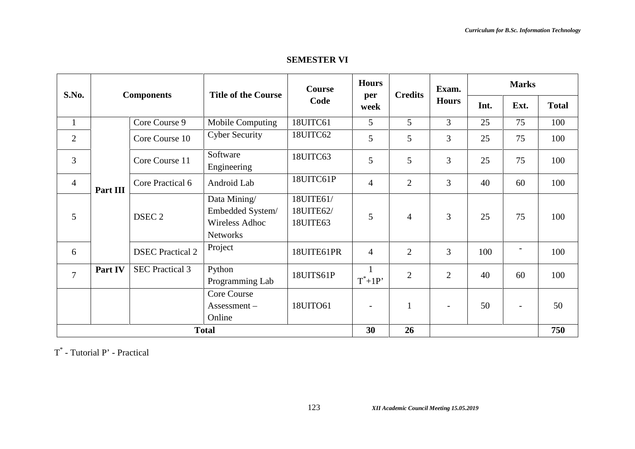# **SEMESTER VI**

| S.No.          |          |                         | <b>Title of the Course</b>                                                   | <b>Course</b>                      | <b>Hours</b>             | <b>Credits</b>  | Exam.          | <b>Marks</b> |                          |              |
|----------------|----------|-------------------------|------------------------------------------------------------------------------|------------------------------------|--------------------------|-----------------|----------------|--------------|--------------------------|--------------|
|                |          | <b>Components</b>       |                                                                              | Code                               | per<br>week              |                 | <b>Hours</b>   | Int.         | Ext.                     | <b>Total</b> |
| $\mathbf{1}$   |          | Core Course 9           | Mobile Computing                                                             | 18UITC61                           | 5                        | $5\overline{)}$ | $\overline{3}$ | 25           | 75                       | 100          |
| $\overline{2}$ |          | Core Course 10          | <b>Cyber Security</b>                                                        | 18UITC62                           | 5                        | $5\overline{)}$ | 3              | 25           | 75                       | 100          |
| 3              |          | Core Course 11          | Software<br>Engineering                                                      | 18UITC63                           | 5                        | 5               | 3              | 25           | 75                       | 100          |
| $\overline{4}$ | Part III | Core Practical 6        | Android Lab                                                                  | 18UITC61P                          | $\overline{4}$           | $\overline{2}$  | 3              | 40           | 60                       | 100          |
| 5              |          | DSEC <sub>2</sub>       | Data Mining/<br>Embedded System/<br><b>Wireless Adhoc</b><br><b>Networks</b> | 18UITE61/<br>18UITE62/<br>18UITE63 | 5                        | $\overline{4}$  | 3              | 25           | 75                       | 100          |
| 6              |          | <b>DSEC</b> Practical 2 | Project                                                                      | 18UITE61PR                         | $\overline{4}$           | 2               | 3              | 100          | $\overline{\phantom{0}}$ | 100          |
| $\overline{7}$ | Part IV  | <b>SEC Practical 3</b>  | Python<br>Programming Lab                                                    | 18UITS61P                          | $T^*+1P'$                | $\overline{2}$  | $\overline{2}$ | 40           | 60                       | 100          |
|                |          |                         | Core Course<br>Assessment –<br>Online                                        | 18UITO61                           | $\overline{\phantom{0}}$ | $\mathbf{1}$    |                | 50           |                          | 50           |
|                |          |                         | <b>Total</b>                                                                 |                                    | 30                       | 26              |                |              |                          | 750          |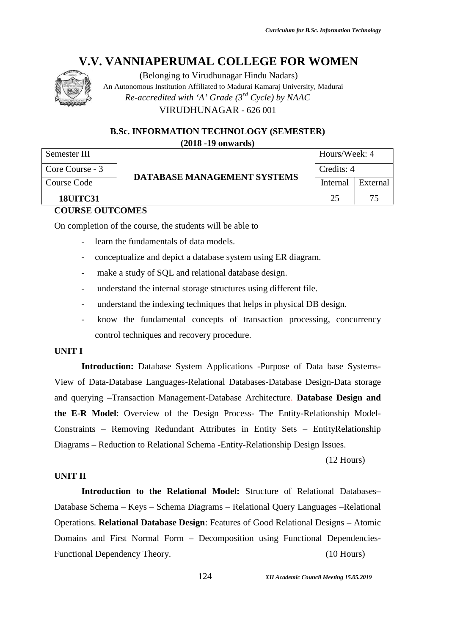

(Belonging to Virudhunagar Hindu Nadars) An Autonomous Institution Affiliated to Madurai Kamaraj University, Madurai *Re-accredited with 'A' Grade (3rd Cycle) by NAAC* VIRUDHUNAGAR - 626 001

# **B.Sc. INFORMATION TECHNOLOGY (SEMESTER) (2018 -19 onwards)**

| Semester III    |                                    | Hours/Week: 4 |          |  |  |  |  |  |  |  |  |  |
|-----------------|------------------------------------|---------------|----------|--|--|--|--|--|--|--|--|--|
| Core Course - 3 |                                    | Credits: 4    |          |  |  |  |  |  |  |  |  |  |
| Course Code     | <b>DATABASE MANAGEMENT SYSTEMS</b> |               | External |  |  |  |  |  |  |  |  |  |
| <b>18UITC31</b> |                                    | 25            | 75       |  |  |  |  |  |  |  |  |  |
| $\alpha$        |                                    |               |          |  |  |  |  |  |  |  |  |  |

# **COURSE OUTCOMES**

On completion of the course, the students will be able to

- learn the fundamentals of data models.
- conceptualize and depict a database system using ER diagram.
- make a study of SQL and relational database design.
- understand the internal storage structures using different file.
- understand the indexing techniques that helps in physical DB design.
- know the fundamental concepts of transaction processing, concurrency control techniques and recovery procedure.

# **UNIT I**

**Introduction:** Database System Applications -Purpose of Data base Systems- View of Data-Database Languages-Relational Databases-Database Design-Data storage and querying –Transaction Management-Database Architecture. **Database Design and the E-R Model**: Overview of the Design Process- The Entity-Relationship Model- Constraints – Removing Redundant Attributes in Entity Sets – EntityRelationship Diagrams – Reduction to Relational Schema -Entity-Relationship Design Issues.

(12 Hours)

#### **UNIT II**

**Introduction to the Relational Model:** Structure of Relational Databases– Database Schema – Keys – Schema Diagrams – Relational Query Languages –Relational Operations. **Relational Database Design**: Features of Good Relational Designs – Atomic Domains and First Normal Form – Decomposition using Functional Dependencies- Functional Dependency Theory. (10 Hours)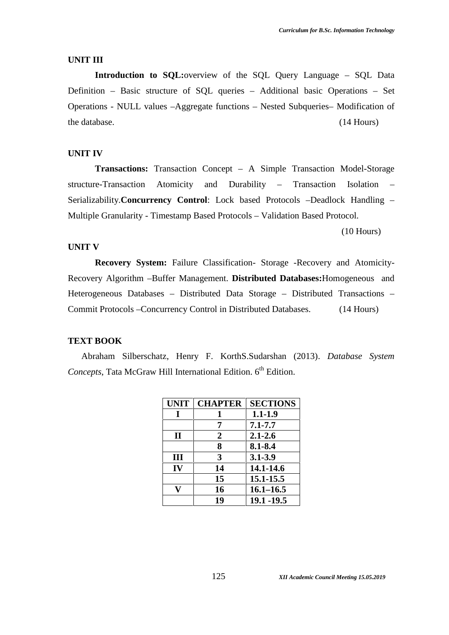#### **UNIT III**

**Introduction to SQL:**overview of the SQL Query Language – SQL Data Definition – Basic structure of SQL queries – Additional basic Operations – Set Operations - NULL values –Aggregate functions – Nested Subqueries– Modification of the database. (14 Hours)

#### **UNIT IV**

**Transactions:** Transaction Concept – A Simple Transaction Model-Storage structure-Transaction Atomicity and Durability – Transaction Isolation – Serializability.**Concurrency Control**: Lock based Protocols –Deadlock Handling – Multiple Granularity - Timestamp Based Protocols – Validation Based Protocol.

(10 Hours)

#### **UNIT V**

**Recovery System:** Failure Classification- Storage -Recovery and Atomicity- Recovery Algorithm –Buffer Management. **Distributed Databases:**Homogeneous and Heterogeneous Databases – Distributed Data Storage – Distributed Transactions – Commit Protocols –Concurrency Control in Distributed Databases. (14 Hours)

#### **TEXT BOOK**

Abraham Silberschatz, Henry F. KorthS.Sudarshan (2013). *Database System* Concepts, Tata McGraw Hill International Edition. 6<sup>th</sup> Edition.

| <b>UNIT</b> | <b>CHAPTER</b> | <b>SECTIONS</b> |
|-------------|----------------|-----------------|
|             |                | $1.1 - 1.9$     |
|             | 7              | $7.1 - 7.7$     |
| $\mathbf H$ | $\overline{2}$ | $2.1 - 2.6$     |
|             | 8              | 8.1-8.4         |
| Ш           | 3              | $3.1 - 3.9$     |
| $\bf{IV}$   | 14             | 14.1-14.6       |
|             | 15             | 15.1-15.5       |
|             | 16             | $16.1 - 16.5$   |
|             | 19             | 19.1 -19.5      |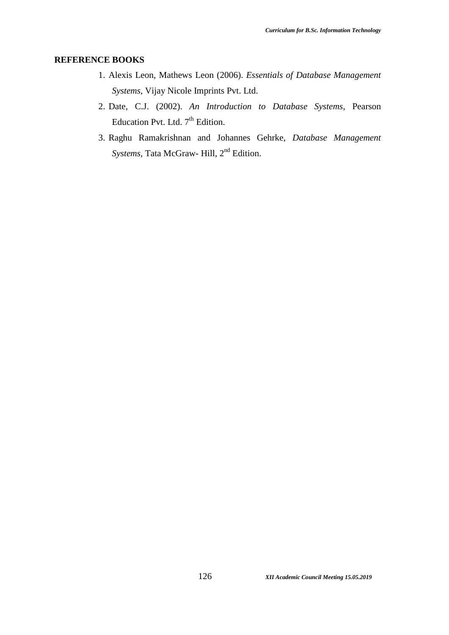- 1. Alexis Leon, Mathews Leon (2006). *Essentials of Database Management Systems,* Vijay Nicole Imprints Pvt. Ltd.
- 2. Date, C.J. (2002). *An Introduction to Database Systems,* Pearson Education Pvt. Ltd. 7<sup>th</sup> Edition.
- 3. Raghu Ramakrishnan and Johannes Gehrke, *Database Management Systems, Tata McGraw- Hill, 2<sup>nd</sup> Edition.*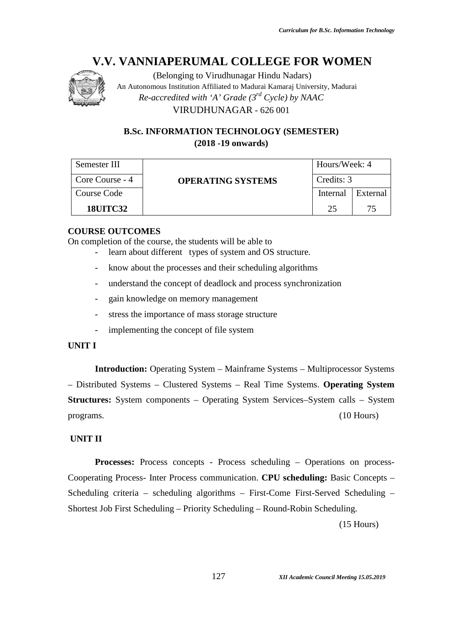

(Belonging to Virudhunagar Hindu Nadars) An Autonomous Institution Affiliated to Madurai Kamaraj University, Madurai *Re-accredited with 'A' Grade (3rd Cycle) by NAAC* VIRUDHUNAGAR - 626 001

# **B.Sc. INFORMATION TECHNOLOGY (SEMESTER) (2018 -19 onwards)**

| Semester III    | <b>OPERATING SYSTEMS</b> | Hours/Week: 4 |          |  |  |
|-----------------|--------------------------|---------------|----------|--|--|
| Core Course - 4 |                          | Credits: 3    |          |  |  |
| Course Code     |                          | Internal      | External |  |  |
| <b>18UITC32</b> |                          | 25            |          |  |  |

## **COURSE OUTCOMES**

On completion of the course, the students will be able to

- learn about different types of system and OS structure.
- know about the processes and their scheduling algorithms
- understand the concept of deadlock and process synchronization
- gain knowledge on memory management
- stress the importance of mass storage structure
- implementing the concept of file system

#### **UNIT I**

**Introduction:** Operating System – Mainframe Systems – Multiprocessor Systems – Distributed Systems – Clustered Systems – Real Time Systems. **Operating System Structures:** System components – Operating System Services–System calls – System programs. (10 Hours)

# **UNIT II**

**Processes:** Process concepts - Process scheduling – Operations on process-Cooperating Process- Inter Process communication. **CPU scheduling:** Basic Concepts – Scheduling criteria – scheduling algorithms – First-Come First-Served Scheduling – Shortest Job First Scheduling – Priority Scheduling – Round-Robin Scheduling.

(15 Hours)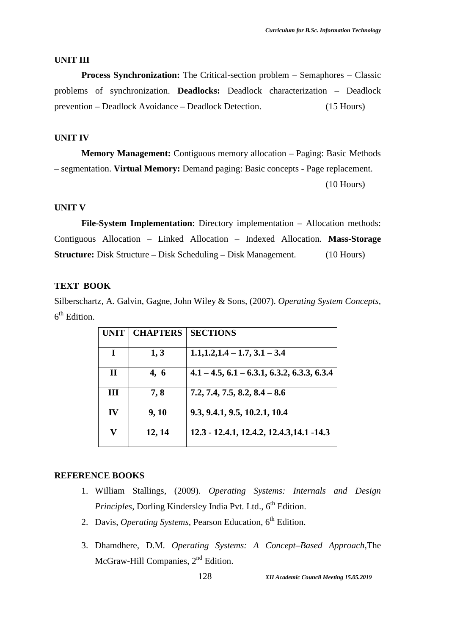#### **UNIT III**

**Process Synchronization:** The Critical-section problem – Semaphores – Classic problems of synchronization. **Deadlocks:** Deadlock characterization – Deadlock prevention – Deadlock Avoidance – Deadlock Detection. (15 Hours)

#### **UNIT IV**

**Memory Management:** Contiguous memory allocation – Paging: Basic Methods – segmentation. **Virtual Memory:** Demand paging: Basic concepts - Page replacement. (10 Hours)

#### **UNIT V**

**File-System Implementation**: Directory implementation – Allocation methods: Contiguous Allocation – Linked Allocation – Indexed Allocation. **Mass-Storage Structure:** Disk Structure – Disk Scheduling – Disk Management. (10 Hours)

#### **TEXT BOOK**

Silberschartz, A. Galvin, Gagne, John Wiley & Sons, (2007). *Operating System Concepts,* 6<sup>th</sup> Edition.

| UNIT        | <b>CHAPTERS</b> | <b>SECTIONS</b>                               |
|-------------|-----------------|-----------------------------------------------|
| I           | 1, 3            | $1.1, 1.2, 1.4 - 1.7, 3.1 - 3.4$              |
| $\mathbf H$ | 4, 6            | $4.1 - 4.5, 6.1 - 6.3.1, 6.3.2, 6.3.3, 6.3.4$ |
| Ш           | 7,8             | $7.2, 7.4, 7.5, 8.2, 8.4 - 8.6$               |
| IV          | 9, 10           | 9.3, 9.4.1, 9.5, 10.2.1, 10.4                 |
| V           | 12, 14          | 12.3 - 12.4.1, 12.4.2, 12.4.3, 14.1 - 14.3    |

- 1. William Stallings, (2009). *Operating Systems: Internals and Design Principles*, Dorling Kindersley India Pvt. Ltd., 6<sup>th</sup> Edition.
- 2. Davis, *Operating Systems*, Pearson Education, 6<sup>th</sup> Edition.
- 3. Dhamdhere, D.M. *Operating Systems: A Concept–Based Approach,*The McGraw-Hill Companies, 2<sup>nd</sup> Edition.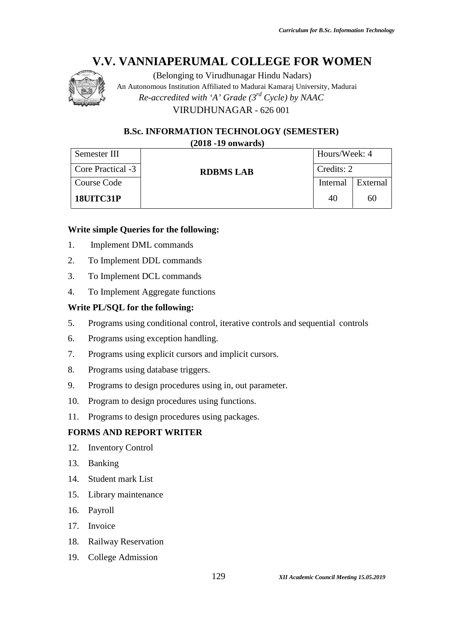

(Belonging to Virudhunagar Hindu Nadars) An Autonomous Institution Affiliated to Madurai Kamaraj University, Madurai *Re-accredited with 'A' Grade (3rd Cycle) by NAAC* VIRUDHUNAGAR - 626 001

# **B.Sc. INFORMATION TECHNOLOGY (SEMESTER) (2018 -19 onwards)**

| Semester III             | <b>RDBMS LAB</b> | Hours/Week: 4 |          |  |
|--------------------------|------------------|---------------|----------|--|
| <b>Core Practical -3</b> |                  | Credits: 2    |          |  |
| Course Code              |                  | Internal      | External |  |
| 18UITC31P                |                  | 40            | 60       |  |

# **Write simple Queries for the following:**

- 1. Implement DML commands
- 2. To Implement DDL commands
- 3. To Implement DCL commands
- 4. To Implement Aggregate functions

# **Write PL/SQL for the following:**

- 5. Programs using conditional control, iterative controls and sequential controls
- 6. Programs using exception handling.
- 7. Programs using explicit cursors and implicit cursors.
- 8. Programs using database triggers.
- 9. Programs to design procedures using in, out parameter.
- 10. Program to design procedures using functions.
- 11. Programs to design procedures using packages.

# **FORMS AND REPORT WRITER**

- 12. Inventory Control
- 13. Banking
- 14. Student mark List
- 15. Library maintenance
- 16. Payroll
- 17. Invoice
- 18. Railway Reservation
- 19. College Admission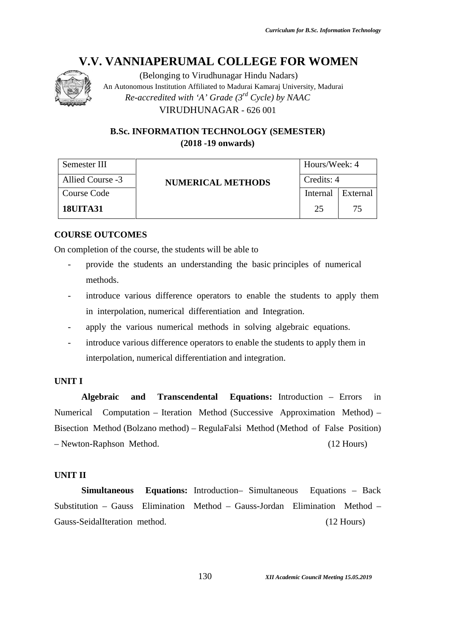

(Belonging to Virudhunagar Hindu Nadars) An Autonomous Institution Affiliated to Madurai Kamaraj University, Madurai *Re-accredited with 'A' Grade (3rd Cycle) by NAAC* VIRUDHUNAGAR - 626 001

# **B.Sc. INFORMATION TECHNOLOGY (SEMESTER) (2018 -19 onwards)**

| Semester III     | Hours/Week: 4            |            |          |
|------------------|--------------------------|------------|----------|
| Allied Course -3 | <b>NUMERICAL METHODS</b> | Credits: 4 |          |
| Course Code      |                          | Internal   | External |
| <b>18UITA31</b>  |                          | 25         | 75       |

## **COURSE OUTCOMES**

On completion of the course, the students will be able to

- provide the students an understanding the basic principles of numerical methods.
- introduce various difference operators to enable the students to apply them in interpolation, numerical differentiation and Integration.
- apply the various numerical methods in solving algebraic equations.
- introduce various difference operators to enable the students to apply them in interpolation, numerical differentiation and integration.

## **UNIT I**

**Algebraic and Transcendental Equations:** Introduction – Errors in Numerical Computation – Iteration Method (Successive Approximation Method) – Bisection Method (Bolzano method) – RegulaFalsi Method (Method of False Position) – Newton-Raphson Method. (12 Hours)

## **UNIT II**

**Simultaneous Equations:** Introduction– Simultaneous Equations – Back Substitution – Gauss Elimination Method – Gauss-Jordan Elimination Method – Gauss-SeidalIteration method. (12 Hours)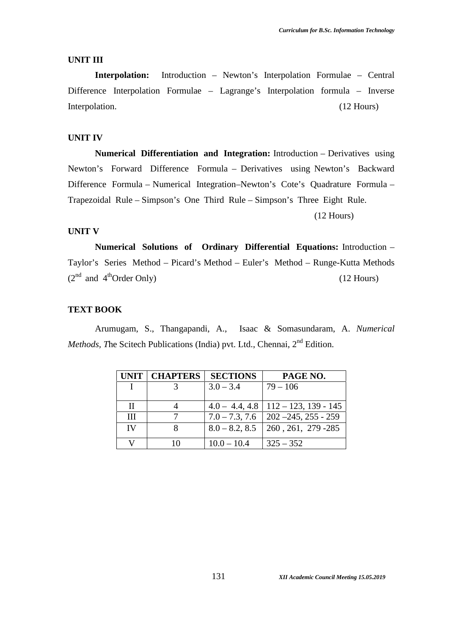#### **UNIT III**

**Interpolation:** Introduction – Newton's Interpolation Formulae – Central Difference Interpolation Formulae – Lagrange's Interpolation formula – Inverse Interpolation. (12 Hours)

## **UNIT IV**

**Numerical Differentiation and Integration:** Introduction – Derivatives using Newton's Forward Difference Formula – Derivatives using Newton's Backward Difference Formula – Numerical Integration–Newton's Cote's Quadrature Formula – Trapezoidal Rule – Simpson's One Third Rule – Simpson's Three Eight Rule.

(12 Hours)

#### **UNIT V**

**Numerical Solutions of Ordinary Differential Equations:** Introduction – Taylor's Series Method – Picard's Method – Euler's Method – Runge-Kutta Methods  $(2<sup>nd</sup>$  and  $4<sup>th</sup>Order Only)$  (12 Hours)

#### **TEXT BOOK**

Arumugam, S., Thangapandi, A., Isaac & Somasundaram, A. *Numerical Methods, The Scitech Publications (India) pvt. Ltd., Chennai, 2<sup>nd</sup> Edition.* 

| <b>UNIT</b> | <b>CHAPTERS</b> | <b>SECTIONS</b>  | PAGE NO.                                        |
|-------------|-----------------|------------------|-------------------------------------------------|
|             |                 | $3.0 - 3.4$      | $79 - 106$                                      |
|             |                 |                  |                                                 |
| Н           |                 |                  | $4.0 - 4.4, 4.8$   $112 - 123, 139 - 145$       |
| Ш           |                 |                  | $7.0 - 7.3$ , $7.6 \pm 202 - 245$ , $255 - 259$ |
| IV          |                 | $8.0 - 8.2, 8.5$ | $\vert$ 260, 261, 279 - 285                     |
|             |                 |                  |                                                 |
|             |                 | $10.0 - 10.4$    | $325 - 352$                                     |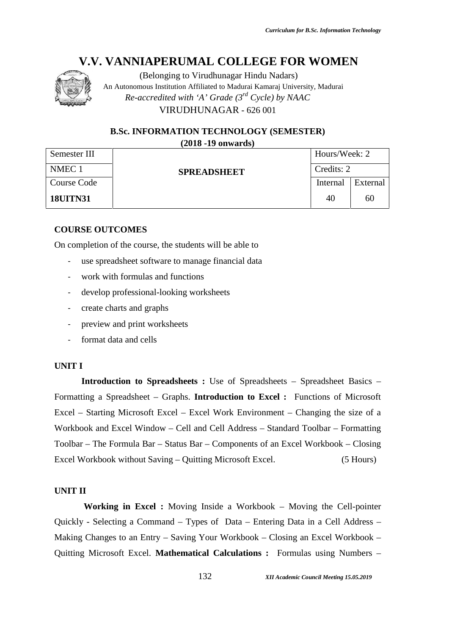

(Belonging to Virudhunagar Hindu Nadars) An Autonomous Institution Affiliated to Madurai Kamaraj University, Madurai *Re-accredited with 'A' Grade (3rd Cycle) by NAAC* VIRUDHUNAGAR - 626 001

# **B.Sc. INFORMATION TECHNOLOGY (SEMESTER) (2018 -19 onwards)**

| Semester III      | <b>SPREADSHEET</b> | Hours/Week: 2 |          |  |  |
|-------------------|--------------------|---------------|----------|--|--|
| NMEC <sub>1</sub> |                    | Credits: 2    |          |  |  |
| Course Code       |                    | Internal      | External |  |  |
| <b>18UITN31</b>   |                    | 40            | 60       |  |  |

## **COURSE OUTCOMES**

On completion of the course, the students will be able to

- use spreadsheet software to manage financial data
- work with formulas and functions
- develop professional-looking worksheets
- create charts and graphs
- preview and print worksheets
- format data and cells

#### **UNIT I**

**Introduction to Spreadsheets :** Use of Spreadsheets – Spreadsheet Basics – Formatting a Spreadsheet – Graphs. **Introduction to Excel :** Functions of Microsoft Excel – Starting Microsoft Excel – Excel Work Environment – Changing the size of a Workbook and Excel Window – Cell and Cell Address – Standard Toolbar – Formatting Toolbar – The Formula Bar – Status Bar – Components of an Excel Workbook – Closing Excel Workbook without Saving – Quitting Microsoft Excel. (5 Hours)

#### **UNIT II**

**Working in Excel :** Moving Inside a Workbook – Moving the Cell-pointer Quickly - Selecting a Command – Types of Data – Entering Data in a Cell Address – Making Changes to an Entry – Saving Your Workbook – Closing an Excel Workbook – Quitting Microsoft Excel. **Mathematical Calculations :** Formulas using Numbers –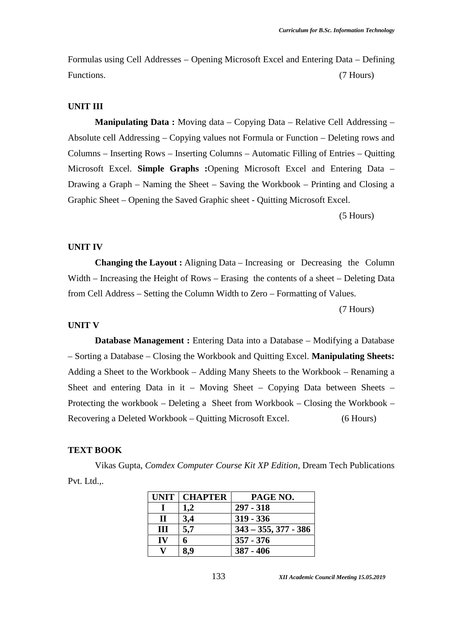Formulas using Cell Addresses – Opening Microsoft Excel and Entering Data – Defining Functions. (7 Hours)

# **UNIT III**

**Manipulating Data :** Moving data – Copying Data – Relative Cell Addressing – Absolute cell Addressing – Copying values not Formula or Function – Deleting rows and Columns – Inserting Rows – Inserting Columns – Automatic Filling of Entries – Quitting Microsoft Excel. **Simple Graphs :**Opening Microsoft Excel and Entering Data – Drawing a Graph – Naming the Sheet – Saving the Workbook – Printing and Closing a Graphic Sheet – Opening the Saved Graphic sheet - Quitting Microsoft Excel.

(5 Hours)

#### **UNIT IV**

**Changing the Layout :** Aligning Data – Increasing or Decreasing the Column Width – Increasing the Height of Rows – Erasing the contents of a sheet – Deleting Data from Cell Address – Setting the Column Width to Zero – Formatting of Values.

(7 Hours)

#### **UNIT V**

**Database Management :** Entering Data into a Database – Modifying a Database – Sorting a Database – Closing the Workbook and Quitting Excel. **Manipulating Sheets:** Adding a Sheet to the Workbook – Adding Many Sheets to the Workbook – Renaming a Sheet and entering Data in it – Moving Sheet – Copying Data between Sheets – Protecting the workbook – Deleting a Sheet from Workbook – Closing the Workbook – Recovering a Deleted Workbook – Quitting Microsoft Excel. (6 Hours)

## **TEXT BOOK**

Vikas Gupta, *Comdex Computer Course Kit XP Edition,* Dream Tech Publications Pvt. Ltd.,.

|    | UNIT   CHAPTER | PAGE NO.                  |
|----|----------------|---------------------------|
|    | 1,2            | 297 - 318                 |
| П  | 3,4            | $319 - 336$               |
| Ш  | 5,7            | $343 - 355$ , $377 - 386$ |
| IV | n              | $357 - 376$               |
|    | 8.9            | $387 - 406$               |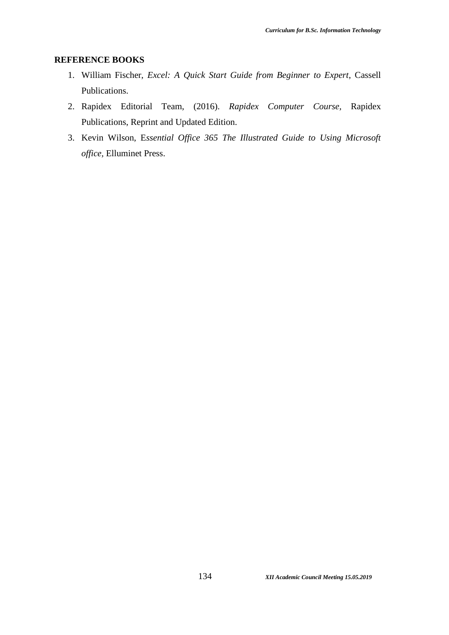- 1. William Fischer, *Excel: A Quick Start Guide from Beginner to Expert*, Cassell Publications.
- 2. Rapidex Editorial Team, (2016). *Rapidex Computer Course,* Rapidex Publications, Reprint and Updated Edition.
- 3. Kevin Wilson, E*ssential Office 365 The Illustrated Guide to Using Microsoft office,* Elluminet Press.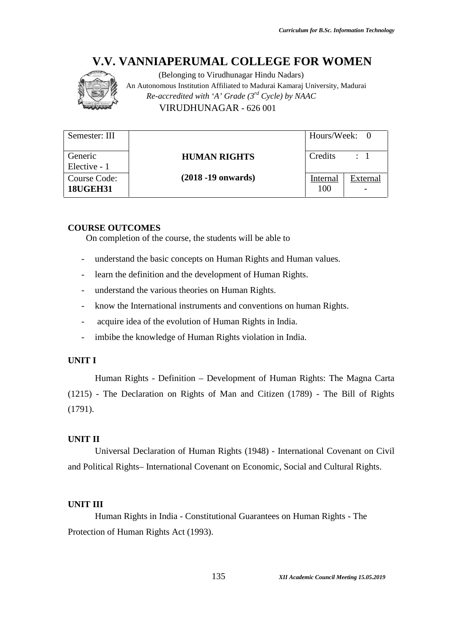

(Belonging to Virudhunagar Hindu Nadars) An Autonomous Institution Affiliated to Madurai Kamaraj University, Madurai *Re-accredited with 'A' Grade (3rd Cycle) by NAAC* VIRUDHUNAGAR - 626 001

| Semester: III                   |                        | Hours/Week: 0   |                |
|---------------------------------|------------------------|-----------------|----------------|
| Generic<br>Elective - 1         | <b>HUMAN RIGHTS</b>    | Credits         | $\therefore$ 1 |
| Course Code:<br><b>18UGEH31</b> | $(2018 - 19)$ onwards) | Internal<br>100 | External       |

## **COURSE OUTCOMES**

On completion of the course, the students will be able to

- understand the basic concepts on Human Rights and Human values.
- learn the definition and the development of Human Rights.
- understand the various theories on Human Rights.
- know the International instruments and conventions on human Rights.
- acquire idea of the evolution of Human Rights in India.
- imbibe the knowledge of Human Rights violation in India.

# **UNIT I**

Human Rights - Definition – Development of Human Rights: The Magna Carta (1215) - The Declaration on Rights of Man and Citizen (1789) - The Bill of Rights (1791).

## **UNIT II**

Universal Declaration of Human Rights (1948) - International Covenant on Civil and Political Rights– International Covenant on Economic, Social and Cultural Rights.

# **UNIT III**

Human Rights in India - Constitutional Guarantees on Human Rights - The Protection of Human Rights Act (1993).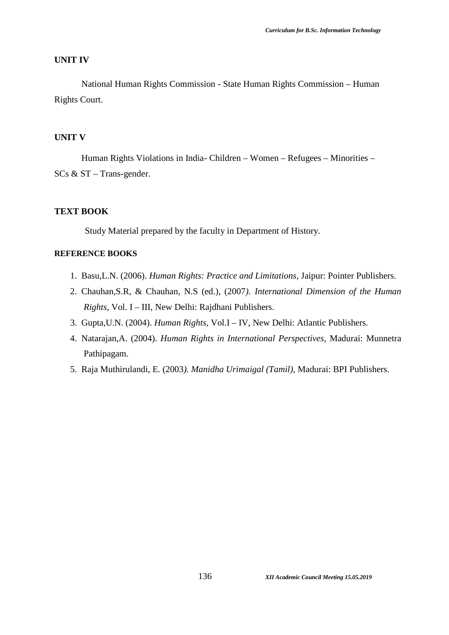#### **UNIT IV**

National Human Rights Commission - State Human Rights Commission – Human Rights Court.

# **UNIT V**

Human Rights Violations in India- Children – Women – Refugees – Minorities – SCs & ST – Trans-gender.

#### **TEXT BOOK**

Study Material prepared by the faculty in Department of History.

- 1. Basu,L.N. (2006). *Human Rights: Practice and Limitations,* Jaipur: Pointer Publishers.
- 2. Chauhan,S.R, & Chauhan, N.S (ed.), (2007*). International Dimension of the Human Rights,* Vol. I – III, New Delhi: Rajdhani Publishers.
- 3. Gupta,U.N. (2004). *Human Rights,* Vol.I IV, New Delhi: Atlantic Publishers.
- 4. Natarajan,A. (2004). *Human Rights in International Perspectives,* Madurai: Munnetra Pathipagam.
- 5. Raja Muthirulandi, E. (2003*). Manidha Urimaigal (Tamil),* Madurai: BPI Publishers.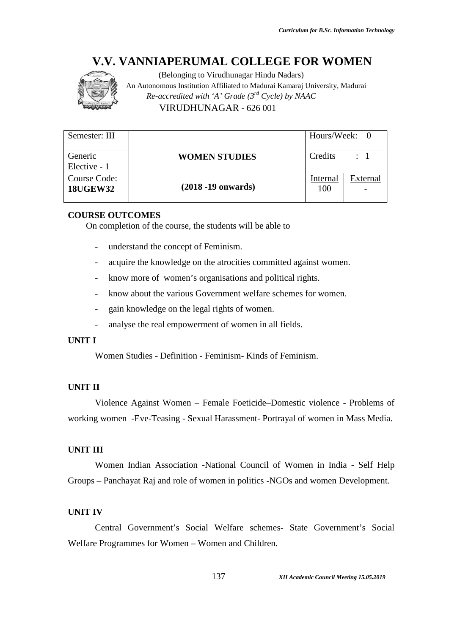

(Belonging to Virudhunagar Hindu Nadars) An Autonomous Institution Affiliated to Madurai Kamaraj University, Madurai *Re-accredited with 'A' Grade (3rd Cycle) by NAAC* VIRUDHUNAGAR - 626 001

| Semester: III                   |                        | Hours/Week: 0   |                                      |
|---------------------------------|------------------------|-----------------|--------------------------------------|
| Generic<br>Elective - 1         | <b>WOMEN STUDIES</b>   | Credits         | $\therefore$ 1                       |
| Course Code:<br><b>18UGEW32</b> | $(2018 - 19)$ onwards) | Internal<br>100 | External<br>$\overline{\phantom{0}}$ |

#### **COURSE OUTCOMES**

On completion of the course, the students will be able to

- understand the concept of Feminism.
- acquire the knowledge on the atrocities committed against women.
- know more of women's organisations and political rights.
- know about the various Government welfare schemes for women.
- gain knowledge on the legal rights of women.
- analyse the real empowerment of women in all fields.

# **UNIT I**

Women Studies - Definition - Feminism- Kinds of Feminism.

#### **UNIT II**

Violence Against Women – Female Foeticide–Domestic violence - Problems of working women -Eve-Teasing - Sexual Harassment- Portrayal of women in Mass Media.

#### **UNIT III**

Women Indian Association -National Council of Women in India - Self Help Groups – Panchayat Raj and role of women in politics -NGOs and women Development.

#### **UNIT IV**

Central Government's Social Welfare schemes- State Government's Social Welfare Programmes for Women – Women and Children.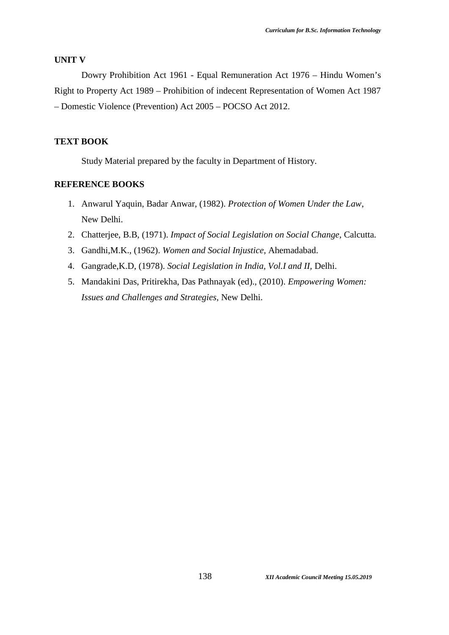#### **UNIT V**

Dowry Prohibition Act 1961 - Equal Remuneration Act 1976 – Hindu Women's Right to Property Act 1989 – Prohibition of indecent Representation of Women Act 1987 – Domestic Violence (Prevention) Act 2005 – POCSO Act 2012.

## **TEXT BOOK**

Study Material prepared by the faculty in Department of History.

- 1. Anwarul Yaquin, Badar Anwar, (1982). *Protection of Women Under the Law*, New Delhi.
- 2. Chatterjee, B.B, (1971). *Impact of Social Legislation on Social Change,* Calcutta.
- 3. Gandhi,M.K., (1962). *Women and Social Injustice,* Ahemadabad.
- 4. Gangrade,K.D, (1978). *Social Legislation in India, Vol.I and II,* Delhi.
- 5. Mandakini Das, Pritirekha, Das Pathnayak (ed)., (2010). *Empowering Women: Issues and Challenges and Strategies,* New Delhi.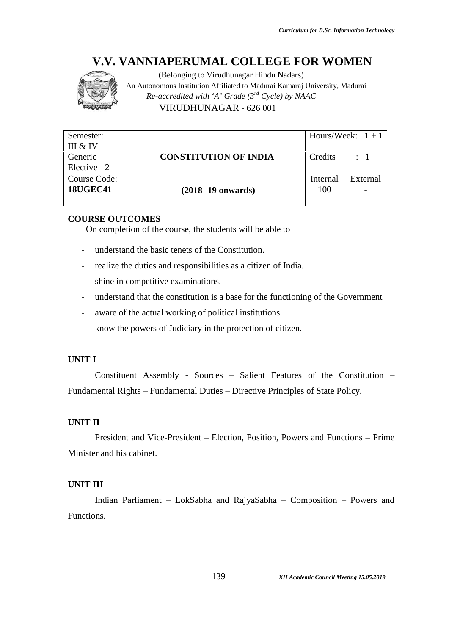

(Belonging to Virudhunagar Hindu Nadars) An Autonomous Institution Affiliated to Madurai Kamaraj University, Madurai *Re-accredited with 'A' Grade (3rd Cycle) by NAAC* VIRUDHUNAGAR - 626 001

| Semester:       |                              |          | Hours/Week: $1 + 1$ |
|-----------------|------------------------------|----------|---------------------|
| III & IV        |                              |          |                     |
| Generic         | <b>CONSTITUTION OF INDIA</b> | Credits  | $\therefore$ 1      |
| Elective - 2    |                              |          |                     |
| Course Code:    |                              | Internal | External            |
| <b>18UGEC41</b> | $(2018 - 19)$ onwards)       | 100      |                     |
|                 |                              |          |                     |

# **COURSE OUTCOMES**

On completion of the course, the students will be able to

- understand the basic tenets of the Constitution.
- realize the duties and responsibilities as a citizen of India.
- shine in competitive examinations.
- understand that the constitution is a base for the functioning of the Government
- aware of the actual working of political institutions.
- know the powers of Judiciary in the protection of citizen.

# **UNIT I**

Constituent Assembly - Sources – Salient Features of the Constitution – Fundamental Rights – Fundamental Duties – Directive Principles of State Policy.

#### **UNIT II**

President and Vice-President – Election, Position, Powers and Functions – Prime Minister and his cabinet.

#### **UNIT III**

Indian Parliament – LokSabha and RajyaSabha – Composition – Powers and Functions.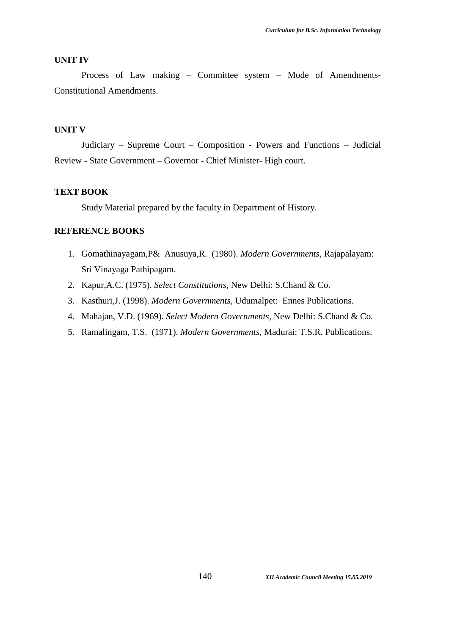#### **UNIT IV**

Process of Law making – Committee system – Mode of Amendments-Constitutional Amendments.

# **UNIT V**

Judiciary – Supreme Court – Composition - Powers and Functions – Judicial Review - State Government – Governor - Chief Minister- High court.

#### **TEXT BOOK**

Study Material prepared by the faculty in Department of History.

- 1. Gomathinayagam,P& Anusuya,R. (1980). *Modern Governments,* Rajapalayam: Sri Vinayaga Pathipagam.
- 2. Kapur,A.C. (1975). *Select Constitutions*, New Delhi: S.Chand & Co.
- 3. Kasthuri,J. (1998). *Modern Governments,* Udumalpet: Ennes Publications.
- 4. Mahajan, V.D. (1969). *Select Modern Governments,* New Delhi: S.Chand & Co.
- 5. Ramalingam, T.S. (1971). *Modern Governments,* Madurai: T.S.R. Publications.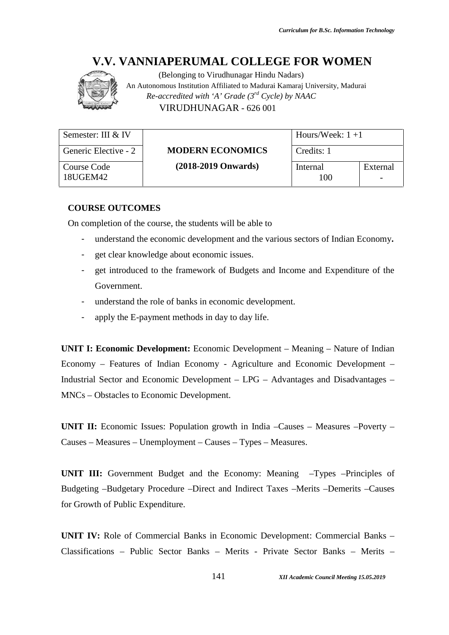

(Belonging to Virudhunagar Hindu Nadars) An Autonomous Institution Affiliated to Madurai Kamaraj University, Madurai *Re-accredited with 'A' Grade (3rd Cycle) by NAAC* VIRUDHUNAGAR - 626 001

| Semester: III & IV      |                         | Hours/Week: $1+1$<br>Credits: 1 |               |
|-------------------------|-------------------------|---------------------------------|---------------|
| Generic Elective - 2    | <b>MODERN ECONOMICS</b> |                                 |               |
| Course Code<br>18UGEM42 | $(2018-2019$ Onwards)   | Internal<br>100                 | External<br>- |

#### **COURSE OUTCOMES**

On completion of the course, the students will be able to

- understand the economic development and the various sectors of Indian Economy**.**
- get clear knowledge about economic issues.
- get introduced to the framework of Budgets and Income and Expenditure of the Government.
- understand the role of banks in economic development.
- apply the E-payment methods in day to day life.

**UNIT I: Economic Development:** Economic Development – Meaning – Nature of Indian Economy – Features of Indian Economy - Agriculture and Economic Development – Industrial Sector and Economic Development – LPG – Advantages and Disadvantages – MNCs – Obstacles to Economic Development.

**UNIT II:** Economic Issues: Population growth in India –Causes – Measures –Poverty – Causes – Measures – Unemployment – Causes – Types – Measures.

**UNIT III:** Government Budget and the Economy: Meaning –Types –Principles of Budgeting –Budgetary Procedure –Direct and Indirect Taxes –Merits –Demerits –Causes for Growth of Public Expenditure.

**UNIT IV:** Role of Commercial Banks in Economic Development: Commercial Banks – Classifications – Public Sector Banks – Merits - Private Sector Banks – Merits –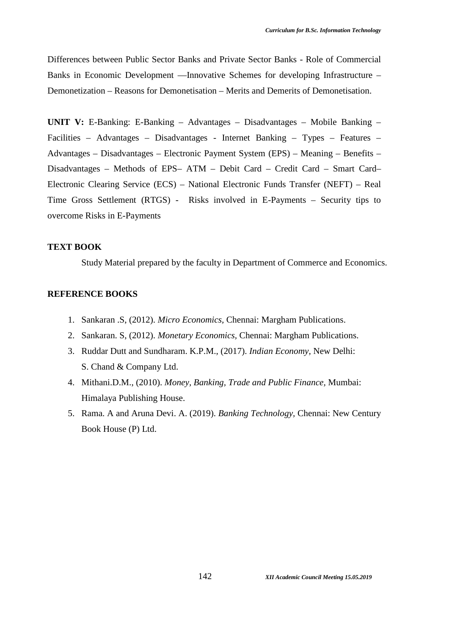Differences between Public Sector Banks and Private Sector Banks - Role of Commercial Banks in Economic Development ––Innovative Schemes for developing Infrastructure – Demonetization – Reasons for Demonetisation – Merits and Demerits of Demonetisation.

**UNIT V:** E-Banking: E-Banking – Advantages – Disadvantages – Mobile Banking – Facilities – Advantages – Disadvantages - Internet Banking – Types – Features – Advantages – Disadvantages – Electronic Payment System (EPS) – Meaning – Benefits – Disadvantages – Methods of EPS– ATM – Debit Card – Credit Card – Smart Card– Electronic Clearing Service (ECS) – National Electronic Funds Transfer (NEFT) – Real Time Gross Settlement (RTGS) - Risks involved in E-Payments – Security tips to overcome Risks in E-Payments

#### **TEXT BOOK**

Study Material prepared by the faculty in Department of Commerce and Economics.

- 1. Sankaran .S, (2012). *Micro Economics,* Chennai: Margham Publications.
- 2. Sankaran. S, (2012). *Monetary Economics,* Chennai: Margham Publications.
- 3. Ruddar Dutt and Sundharam. K.P.M., (2017). *Indian Economy,* New Delhi: S. Chand & Company Ltd.
- 4. Mithani.D.M., (2010). *Money, Banking, Trade and Public Finance,* Mumbai: Himalaya Publishing House.
- 5. Rama. A and Aruna Devi. A. (2019). *Banking Technology,* Chennai: New Century Book House (P) Ltd.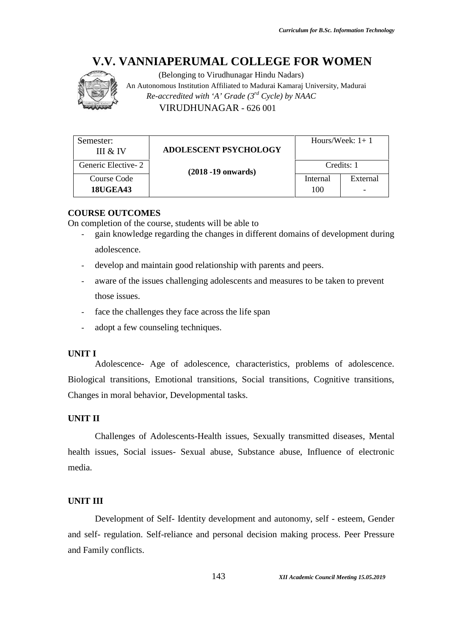

(Belonging to Virudhunagar Hindu Nadars) An Autonomous Institution Affiliated to Madurai Kamaraj University, Madurai *Re-accredited with 'A' Grade (3rd Cycle) by NAAC* VIRUDHUNAGAR - 626 001

| Semester:<br>III & IV          | <b>ADOLESCENT PSYCHOLOGY</b> |                 | Hours/Week: $1+1$ |
|--------------------------------|------------------------------|-----------------|-------------------|
| Generic Elective-2             | $(2018 - 19)$ onwards)       | Credits: 1      |                   |
| Course Code<br><b>18UGEA43</b> |                              | Internal<br>100 | External          |

# **COURSE OUTCOMES**

On completion of the course, students will be able to

- gain knowledge regarding the changes in different domains of development during adolescence.
- develop and maintain good relationship with parents and peers.
- aware of the issues challenging adolescents and measures to be taken to prevent those issues.
- face the challenges they face across the life span
- adopt a few counseling techniques.

# **UNIT I**

Adolescence- Age of adolescence, characteristics, problems of adolescence. Biological transitions, Emotional transitions, Social transitions, Cognitive transitions, Changes in moral behavior, Developmental tasks.

# **UNIT II**

Challenges of Adolescents-Health issues, Sexually transmitted diseases, Mental health issues, Social issues- Sexual abuse, Substance abuse, Influence of electronic media.

# **UNIT III**

Development of Self- Identity development and autonomy, self - esteem, Gender and self- regulation. Self-reliance and personal decision making process. Peer Pressure and Family conflicts.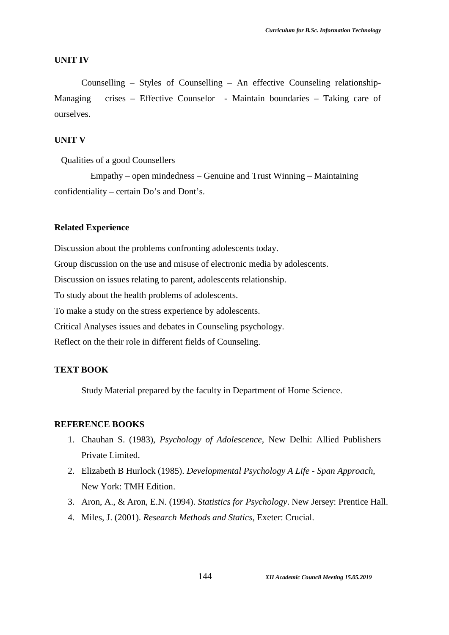#### **UNIT IV**

Counselling – Styles of Counselling – An effective Counseling relationship- Managing crises – Effective Counselor - Maintain boundaries – Taking care of ourselves.

# **UNIT V**

Qualities of a good Counsellers

Empathy – open mindedness – Genuine and Trust Winning – Maintaining confidentiality – certain Do's and Dont's.

## **Related Experience**

Discussion about the problems confronting adolescents today. Group discussion on the use and misuse of electronic media by adolescents. Discussion on issues relating to parent, adolescents relationship. To study about the health problems of adolescents. To make a study on the stress experience by adolescents. Critical Analyses issues and debates in Counseling psychology. Reflect on the their role in different fields of Counseling.

# **TEXT BOOK**

Study Material prepared by the faculty in Department of Home Science.

- 1. Chauhan S. (1983), *Psychology of Adolescence*, New Delhi: Allied Publishers Private Limited.
- 2. Elizabeth B Hurlock (1985). *Developmental Psychology A Life - Span Approach*, New York: TMH Edition.
- 3. Aron, A., & Aron, E.N. (1994). *Statistics for Psychology*. New Jersey: Prentice Hall.
- 4. Miles, J. (2001). *Research Methods and Statics,* Exeter: Crucial.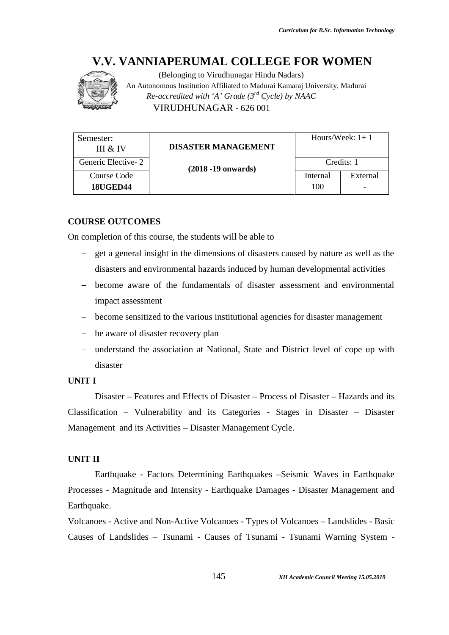

(Belonging to Virudhunagar Hindu Nadars) An Autonomous Institution Affiliated to Madurai Kamaraj University, Madurai *Re-accredited with 'A' Grade (3rd Cycle) by NAAC* VIRUDHUNAGAR - 626 001

| Semester:<br>III & IV          | <b>DISASTER MANAGEMENT</b> |                 | Hours/Week: $1+1$ |
|--------------------------------|----------------------------|-----------------|-------------------|
| Generic Elective-2             | $(2018 - 19)$ onwards)     | Credits: 1      |                   |
| Course Code<br><b>18UGED44</b> |                            | Internal<br>100 | External          |

## **COURSE OUTCOMES**

On completion of this course, the students will be able to

- get a general insight in the dimensions of disasters caused by nature as well as the disasters and environmental hazards induced by human developmental activities
- become aware of the fundamentals of disaster assessment and environmental impact assessment
- become sensitized to the various institutional agencies for disaster management
- be aware of disaster recovery plan
- understand the association at National, State and District level of cope up with disaster

# **UNIT I**

Disaster – Features and Effects of Disaster – Process of Disaster – Hazards and its Classification – Vulnerability and its Categories - Stages in Disaster – Disaster Management and its Activities – Disaster Management Cycle.

#### **UNIT II**

Earthquake - Factors Determining Earthquakes –Seismic Waves in Earthquake Processes - Magnitude and Intensity - Earthquake Damages - Disaster Management and Earthquake.

Volcanoes - Active and Non-Active Volcanoes - Types of Volcanoes – Landslides - Basic Causes of Landslides – Tsunami - Causes of Tsunami - Tsunami Warning System -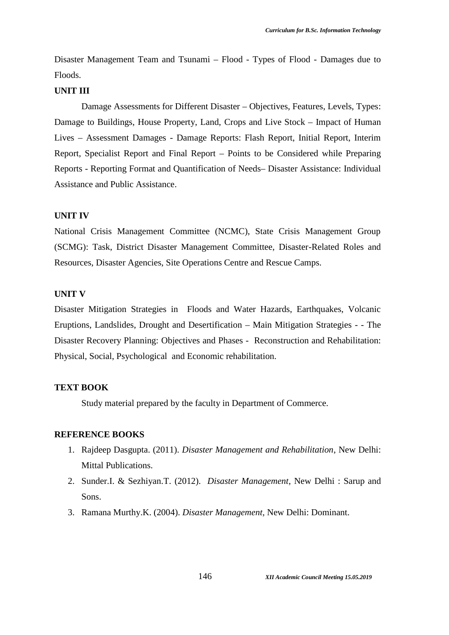Disaster Management Team and Tsunami – Flood - Types of Flood - Damages due to Floods.

# **UNIT III**

Damage Assessments for Different Disaster – Objectives, Features, Levels, Types: Damage to Buildings, House Property, Land, Crops and Live Stock – Impact of Human Lives – Assessment Damages - Damage Reports: Flash Report, Initial Report, Interim Report, Specialist Report and Final Report – Points to be Considered while Preparing Reports - Reporting Format and Quantification of Needs– Disaster Assistance: Individual Assistance and Public Assistance.

#### **UNIT IV**

National Crisis Management Committee (NCMC), State Crisis Management Group (SCMG): Task, District Disaster Management Committee, Disaster-Related Roles and Resources, Disaster Agencies, Site Operations Centre and Rescue Camps.

## **UNIT V**

Disaster Mitigation Strategies in Floods and Water Hazards, Earthquakes, Volcanic Eruptions, Landslides, Drought and Desertification – Main Mitigation Strategies - - The Disaster Recovery Planning: Objectives and Phases - Reconstruction and Rehabilitation: Physical, Social, Psychological and Economic rehabilitation.

#### **TEXT BOOK**

Study material prepared by the faculty in Department of Commerce.

- 1. Rajdeep Dasgupta. (2011). *Disaster Management and Rehabilitation*, New Delhi: Mittal Publications.
- 2. Sunder.I. & Sezhiyan.T. (2012). *Disaster Management*, New Delhi : Sarup and Sons.
- 3. Ramana Murthy.K. (2004). *Disaster Management,* New Delhi: Dominant.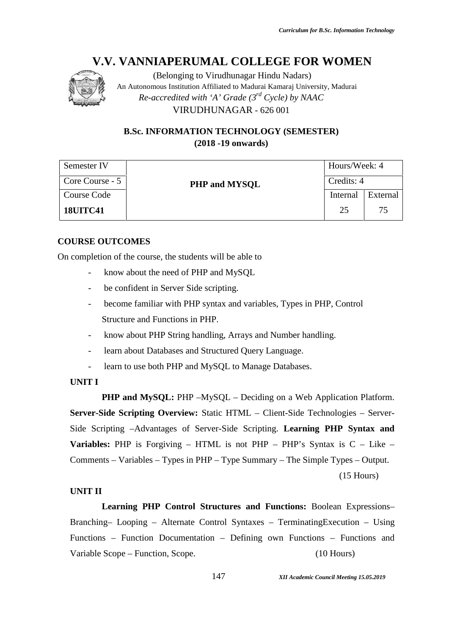

(Belonging to Virudhunagar Hindu Nadars) An Autonomous Institution Affiliated to Madurai Kamaraj University, Madurai *Re-accredited with 'A' Grade (3rd Cycle) by NAAC* VIRUDHUNAGAR - 626 001

# **B.Sc. INFORMATION TECHNOLOGY (SEMESTER) (2018 -19 onwards)**

| Semester IV     |               | Hours/Week: 4 |          |
|-----------------|---------------|---------------|----------|
| Core Course - 5 | PHP and MYSQL | Credits: 4    |          |
| Course Code     |               | Internal      | External |
| <b>18UITC41</b> |               | 25            | 75       |

## **COURSE OUTCOMES**

On completion of the course, the students will be able to

- know about the need of PHP and MySQL
- be confident in Server Side scripting.
- become familiar with PHP syntax and variables, Types in PHP, Control Structure and Functions in PHP.
- know about PHP String handling, Arrays and Number handling.
- learn about Databases and Structured Query Language.
- learn to use both PHP and MySQL to Manage Databases.

#### **UNIT I**

**PHP and MySQL:** PHP –MySQL – Deciding on a Web Application Platform. **Server-Side Scripting Overview:** Static HTML – Client-Side Technologies – Server- Side Scripting –Advantages of Server-Side Scripting. **Learning PHP Syntax and Variables:** PHP is Forgiving – HTML is not PHP – PHP's Syntax is  $C -$  Like – Comments – Variables – Types in PHP – Type Summary – The Simple Types – Output. (15 Hours)

# **UNIT II**

**Learning PHP Control Structures and Functions:** Boolean Expressions– Branching– Looping – Alternate Control Syntaxes – TerminatingExecution – Using Functions – Function Documentation – Defining own Functions – Functions and Variable Scope – Function, Scope. (10 Hours)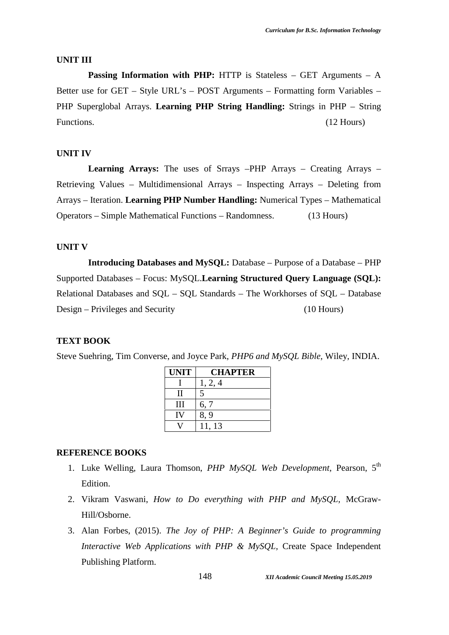#### **UNIT III**

**Passing Information with PHP:** HTTP is Stateless – GET Arguments – A Better use for GET – Style URL's – POST Arguments – Formatting form Variables – PHP Superglobal Arrays. **Learning PHP String Handling:** Strings in PHP – String Functions. (12 Hours)

#### **UNIT IV**

**Learning Arrays:** The uses of Srrays –PHP Arrays – Creating Arrays – Retrieving Values – Multidimensional Arrays – Inspecting Arrays – Deleting from Arrays – Iteration. **Learning PHP Number Handling:** Numerical Types – Mathematical Operators – Simple Mathematical Functions – Randomness. (13 Hours)

#### **UNIT V**

**Introducing Databases and MySQL:** Database – Purpose of a Database – PHP Supported Databases – Focus: MySQL.**Learning Structured Query Language (SQL):** Relational Databases and SQL – SQL Standards – The Workhorses of SQL – Database Design – Privileges and Security (10 Hours)

#### **TEXT BOOK**

Steve Suehring, Tim Converse, and Joyce Park, *PHP6 and MySQL Bible,* Wiley, INDIA.

| <b>UNIT</b> | <b>CHAPTER</b> |  |
|-------------|----------------|--|
|             | 1, 2, 4        |  |
|             |                |  |
| Ш           | 6, 7           |  |
|             | 8, 9           |  |
|             | 11, 13         |  |

- 1. Luke Welling, Laura Thomson, *PHP MySQL Web Development*, Pearson, 5th Edition.
- 2. Vikram Vaswani, *How to Do everything with PHP and MySQL,* McGraw- Hill/Osborne.
- 3. Alan Forbes, (2015). *The Joy of PHP: A Beginner's Guide to programming Interactive Web Applications with PHP & MySQL,* Create Space Independent Publishing Platform.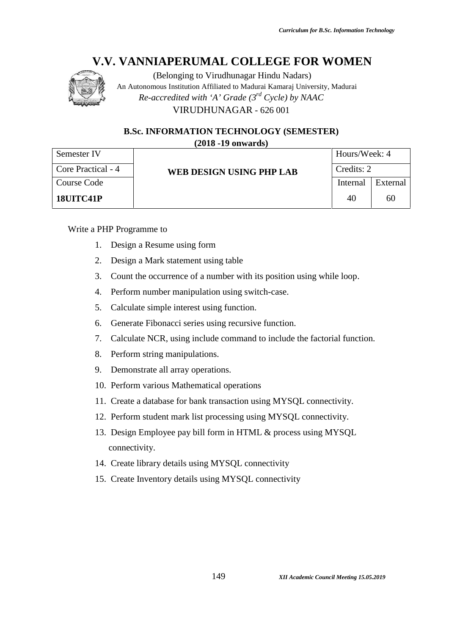

(Belonging to Virudhunagar Hindu Nadars) An Autonomous Institution Affiliated to Madurai Kamaraj University, Madurai *Re-accredited with 'A' Grade (3rd Cycle) by NAAC* VIRUDHUNAGAR - 626 001

# **B.Sc. INFORMATION TECHNOLOGY (SEMESTER) (2018 -19 onwards)**

| Semester IV        |                          | Hours/Week: 4 |          |
|--------------------|--------------------------|---------------|----------|
| Core Practical - 4 | WEB DESIGN USING PHP LAB | Credits: 2    |          |
| Course Code        |                          | Internal      | External |
| 18UITC41P          |                          | 40            | 60       |

Write a PHP Programme to

- 1. Design a Resume using form
- 2. Design a Mark statement using table
- 3. Count the occurrence of a number with its position using while loop.
- 4. Perform number manipulation using switch-case.
- 5. Calculate simple interest using function.
- 6. Generate Fibonacci series using recursive function.
- 7. Calculate NCR, using include command to include the factorial function.
- 8. Perform string manipulations.
- 9. Demonstrate all array operations.
- 10. Perform various Mathematical operations
- 11. Create a database for bank transaction using MYSQL connectivity.
- 12. Perform student mark list processing using MYSQL connectivity.
- 13. Design Employee pay bill form in HTML & process using MYSQL connectivity.
- 14. Create library details using MYSQL connectivity
- 15. Create Inventory details using MYSQL connectivity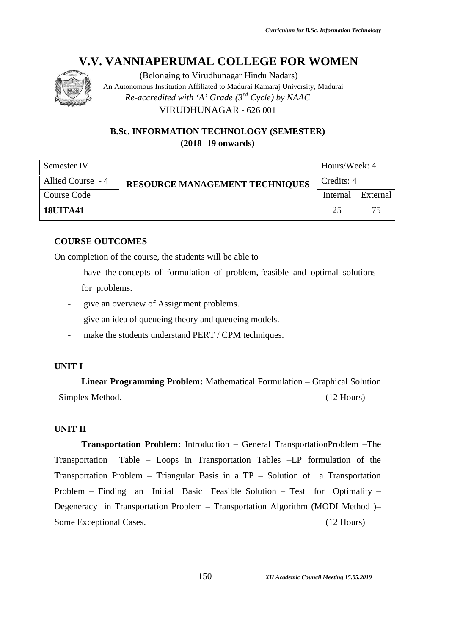

(Belonging to Virudhunagar Hindu Nadars) An Autonomous Institution Affiliated to Madurai Kamaraj University, Madurai *Re-accredited with 'A' Grade (3rd Cycle) by NAAC* VIRUDHUNAGAR - 626 001

# **B.Sc. INFORMATION TECHNOLOGY (SEMESTER) (2018 -19 onwards)**

| Semester IV       |                                       | Hours/Week: 4 |          |
|-------------------|---------------------------------------|---------------|----------|
| Allied Course - 4 | <b>RESOURCE MANAGEMENT TECHNIQUES</b> | Credits: 4    |          |
| Course Code       |                                       | Internal      | External |
| <b>18UITA41</b>   |                                       | 25            | 75       |

# **COURSE OUTCOMES**

On completion of the course, the students will be able to

- have the concepts of formulation of problem, feasible and optimal solutions for problems.
- give an overview of Assignment problems.
- give an idea of queueing theory and queueing models.
- make the students understand PERT / CPM techniques.

# **UNIT I**

**Linear Programming Problem:** Mathematical Formulation – Graphical Solution –Simplex Method. (12 Hours)

# **UNIT II**

**Transportation Problem:** Introduction – General TransportationProblem –The Transportation Table – Loops in Transportation Tables –LP formulation of the Transportation Problem – Triangular Basis in a TP – Solution of a Transportation Problem – Finding an Initial Basic Feasible Solution – Test for Optimality – Degeneracy in Transportation Problem – Transportation Algorithm (MODI Method )– Some Exceptional Cases. (12 Hours)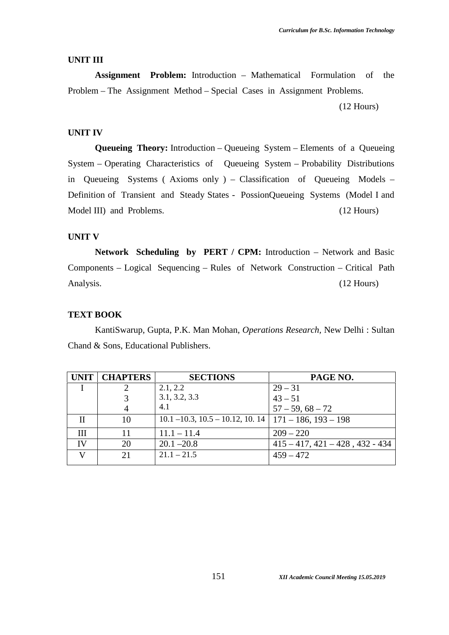#### **UNIT III**

**Assignment Problem:** Introduction – Mathematical Formulation of the Problem – The Assignment Method – Special Cases in Assignment Problems.

(12 Hours)

#### **UNIT IV**

**Queueing Theory:** Introduction – Queueing System – Elements of a Queueing System – Operating Characteristics of Queueing System – Probability Distributions in Queueing Systems ( Axioms only ) – Classification of Queueing Models – Definition of Transient and Steady States - PossionQueueing Systems (Model I and Model III) and Problems. (12 Hours)

# **UNIT V**

**Network Scheduling by PERT / CPM:** Introduction – Network and Basic Components – Logical Sequencing – Rules of Network Construction – Critical Path Analysis. (12 Hours)

#### **TEXT BOOK**

KantiSwarup, Gupta, P.K. Man Mohan, *Operations Research,* New Delhi : Sultan Chand & Sons, Educational Publishers.

| UNIT | <b>CHAPTERS</b> | <b>SECTIONS</b>                                         | PAGE NO.                                |
|------|-----------------|---------------------------------------------------------|-----------------------------------------|
|      |                 | 2.1, 2.2                                                | $29 - 31$                               |
|      |                 | 3.1, 3.2, 3.3                                           | $43 - 51$                               |
|      | 4               | 4.1                                                     | $57 - 59,68 - 72$                       |
|      | 10              | 10.1 – 10.3, 10.5 – 10.12, 10.14   171 – 186, 193 – 198 |                                         |
| Ш    | 11              | $11.1 - 11.4$                                           | $209 - 220$                             |
| IV   | 20              | $20.1 - 20.8$                                           | $415 - 417$ , $421 - 428$ , $432 - 434$ |
|      | 21              | $21.1 - 21.5$                                           | $459 - 472$                             |
|      |                 |                                                         |                                         |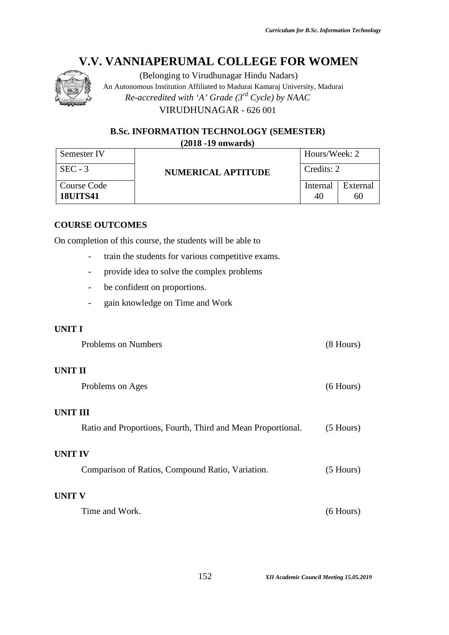

(Belonging to Virudhunagar Hindu Nadars) An Autonomous Institution Affiliated to Madurai Kamaraj University, Madurai *Re-accredited with 'A' Grade (3rd Cycle) by NAAC* VIRUDHUNAGAR - 626 001

# **B.Sc. INFORMATION TECHNOLOGY (SEMESTER) (2018 -19 onwards)**

| Semester IV                    |                           | Hours/Week: 2  |                |
|--------------------------------|---------------------------|----------------|----------------|
| $SEC - 3$                      | <b>NUMERICAL APTITUDE</b> | Credits: 2     |                |
| Course Code<br><b>18UITS41</b> |                           | Internal<br>40 | External<br>60 |

# **COURSE OUTCOMES**

On completion of this course, the students will be able to

- train the students for various competitive exams.
- provide idea to solve the complex problems
- be confident on proportions.
- gain knowledge on Time and Work

# **UNIT I**

| Problems on Numbers                                                     | $(8$ Hours) |
|-------------------------------------------------------------------------|-------------|
| UNIT II<br>Problems on Ages                                             | $(6$ Hours) |
| UNIT III<br>Ratio and Proportions, Fourth, Third and Mean Proportional. | $(5$ Hours) |
| <b>UNIT IV</b><br>Comparison of Ratios, Compound Ratio, Variation.      | $(5$ Hours) |
| <b>UNIT V</b><br>Time and Work.                                         | $(6$ Hours) |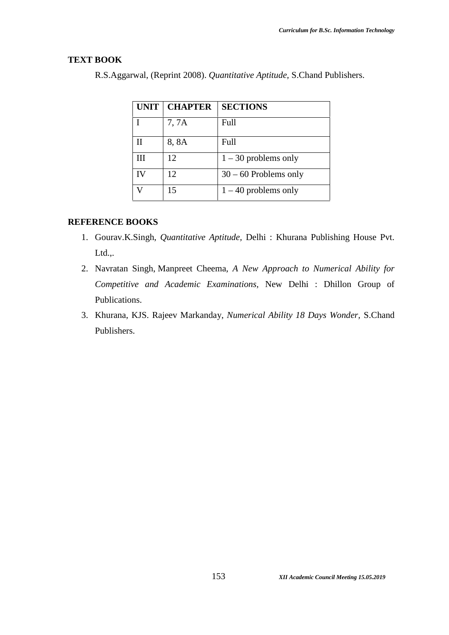# **TEXT BOOK**

| <b>UNIT</b> | <b>CHAPTER</b> | <b>SECTIONS</b>         |
|-------------|----------------|-------------------------|
|             | 7, 7A          | Full                    |
|             | 8,8A           | Full                    |
| Ш           | 12             | $1 - 30$ problems only  |
|             | 12.            | $30 - 60$ Problems only |
|             | 15             | $1 - 40$ problems only  |

R.S.Aggarwal, (Reprint 2008). *Quantitative Aptitude,* S.Chand Publishers.

- 1. Gourav.K.Singh, *Quantitative Aptitude,* Delhi : Khurana Publishing House Pvt. Ltd.,.
- 2. Navratan Singh, Manpreet Cheema, *A New Approach to Numerical Ability for Competitive and Academic Examinations,* New Delhi : Dhillon Group of Publications.
- 3. Khurana, KJS. Rajeev Markanday, *Numerical Ability 18 Days Wonder,* S.Chand Publishers.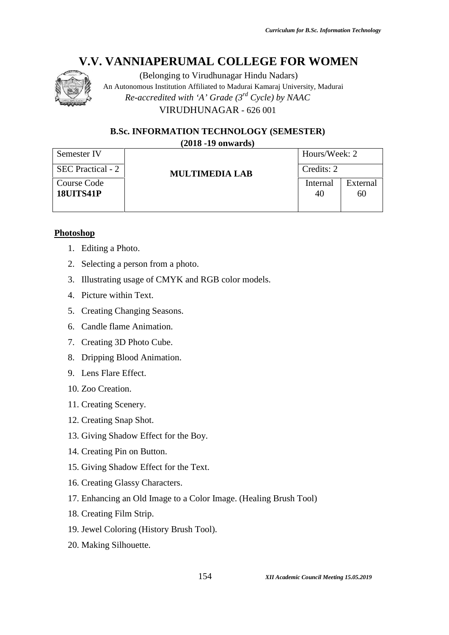

(Belonging to Virudhunagar Hindu Nadars) An Autonomous Institution Affiliated to Madurai Kamaraj University, Madurai *Re-accredited with 'A' Grade (3rd Cycle) by NAAC* VIRUDHUNAGAR - 626 001

# **B.Sc. INFORMATION TECHNOLOGY (SEMESTER) (2018 -19 onwards)**

| Semester IV       |                | Hours/Week: 2 |          |  |
|-------------------|----------------|---------------|----------|--|
| SEC Practical - 2 | MULTIMEDIA LAB | Credits: 2    |          |  |
| Course Code       |                | Internal      | External |  |
| <b>18UITS41P</b>  |                | 40            | 60       |  |
|                   |                |               |          |  |

# **Photoshop**

- 1. Editing a Photo.
- 2. Selecting a person from a photo.
- 3. Illustrating usage of CMYK and RGB color models.
- 4. Picture within Text.
- 5. Creating Changing Seasons.
- 6. Candle flame Animation.
- 7. Creating 3D Photo Cube.
- 8. Dripping Blood Animation.
- 9. Lens Flare Effect.
- 10. Zoo Creation.
- 11. Creating Scenery.
- 12. Creating Snap Shot.
- 13. Giving Shadow Effect for the Boy.
- 14. Creating Pin on Button.
- 15. Giving Shadow Effect for the Text.
- 16. Creating Glassy Characters.
- 17. Enhancing an Old Image to a Color Image. (Healing Brush Tool)
- 18. Creating Film Strip.
- 19. Jewel Coloring (History Brush Tool).
- 20. Making Silhouette.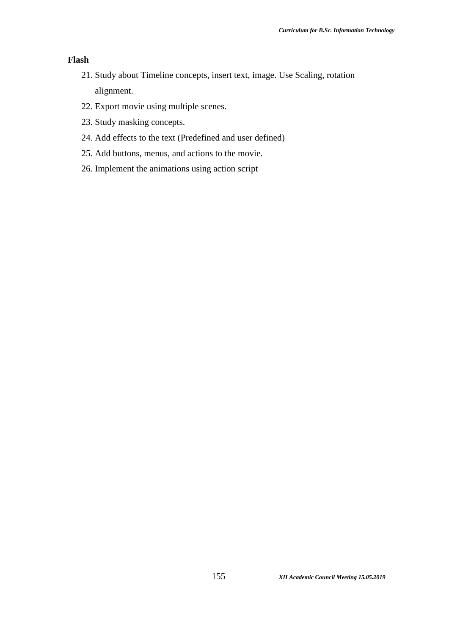#### **Flash**

- 21. Study about Timeline concepts, insert text, image. Use Scaling, rotation alignment.
- 22. Export movie using multiple scenes.
- 23. Study masking concepts.
- 24. Add effects to the text (Predefined and user defined)
- 25. Add buttons, menus, and actions to the movie.
- 26. Implement the animations using action script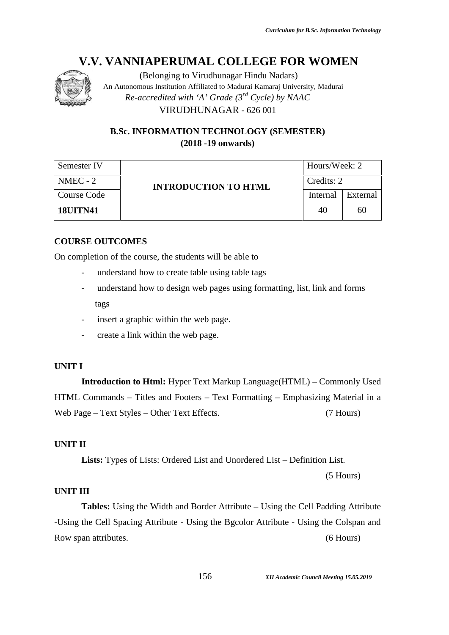

(Belonging to Virudhunagar Hindu Nadars) An Autonomous Institution Affiliated to Madurai Kamaraj University, Madurai *Re-accredited with 'A' Grade (3rd Cycle) by NAAC* VIRUDHUNAGAR - 626 001

# **B.Sc. INFORMATION TECHNOLOGY (SEMESTER) (2018 -19 onwards)**

| Semester IV |                             | Hours/Week: 2 |          |
|-------------|-----------------------------|---------------|----------|
| $NMEC - 2$  | <b>INTRODUCTION TO HTML</b> | Credits: 2    |          |
| Course Code |                             | Internal      | External |
| 18UITN41    |                             | 40            | 60       |

# **COURSE OUTCOMES**

On completion of the course, the students will be able to

- understand how to create table using table tags
- understand how to design web pages using formatting, list, link and forms tags
- insert a graphic within the web page.
- create a link within the web page.

# **UNIT I**

**Introduction to Html:** Hyper Text Markup Language(HTML) – Commonly Used HTML Commands – Titles and Footers – Text Formatting – Emphasizing Material in a Web Page – Text Styles – Other Text Effects. (7 Hours)

# **UNIT II**

**Lists:** Types of Lists: Ordered List and Unordered List – Definition List.

(5 Hours)

# **UNIT III**

**Tables:** Using the Width and Border Attribute – Using the Cell Padding Attribute -Using the Cell Spacing Attribute - Using the Bgcolor Attribute - Using the Colspan and Row span attributes. (6 Hours)